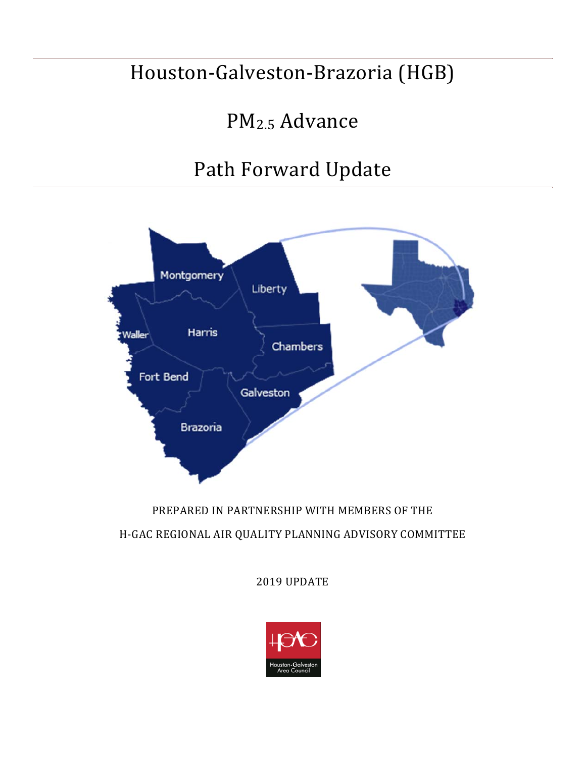## Houston-Galveston-Brazoria (HGB)

# PM2.5 Advance

# Path Forward Update



## PREPARED IN PARTNERSHIP WITH MEMBERS OF THE H-GAC REGIONAL AIR QUALITY PLANNING ADVISORY COMMITTEE

2019 UPDATE

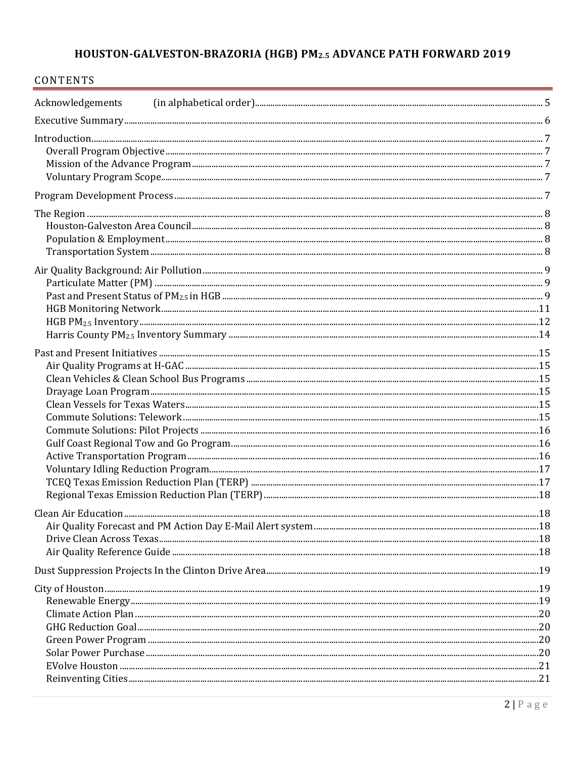## HOUSTON-GALVESTON-BRAZORIA (HGB) PM2.5 ADVANCE PATH FORWARD 2019

| CONTENTS         |  |
|------------------|--|
| Acknowledgements |  |
|                  |  |
| Introduction 7   |  |
|                  |  |
|                  |  |
|                  |  |
|                  |  |
|                  |  |
|                  |  |
|                  |  |
|                  |  |
|                  |  |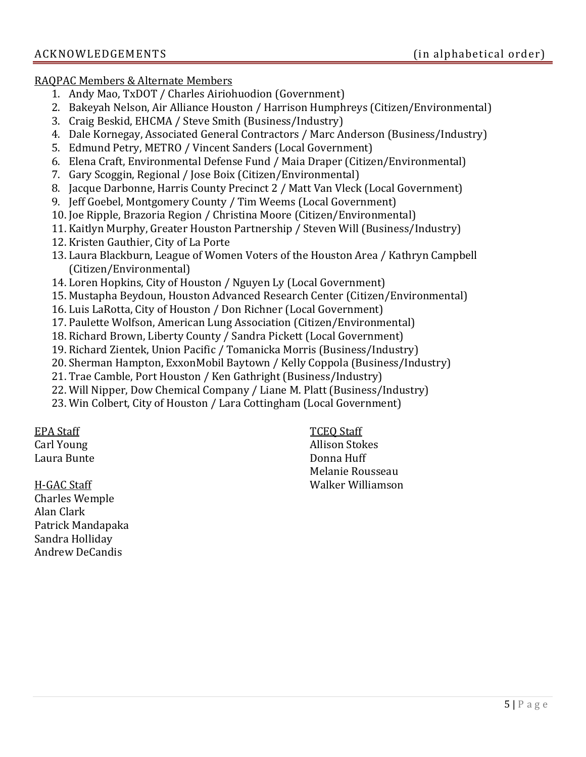RAQPAC Members & Alternate Members

- 1. Andy Mao, TxDOT / Charles Airiohuodion (Government)
- 2. Bakeyah Nelson, Air Alliance Houston / Harrison Humphreys (Citizen/Environmental)
- 3. Craig Beskid, EHCMA / Steve Smith (Business/Industry)
- 4. Dale Kornegay, Associated General Contractors / Marc Anderson (Business/Industry)
- 5. Edmund Petry, METRO / Vincent Sanders (Local Government)
- 6. Elena Craft, Environmental Defense Fund / Maia Draper (Citizen/Environmental)
- 7. Gary Scoggin, Regional / Jose Boix (Citizen/Environmental)
- 8. Jacque Darbonne, Harris County Precinct 2 / Matt Van Vleck (Local Government)
- 9. Jeff Goebel, Montgomery County / Tim Weems (Local Government)
- 10. Joe Ripple, Brazoria Region / Christina Moore (Citizen/Environmental)
- 11. Kaitlyn Murphy, Greater Houston Partnership / Steven Will (Business/Industry)
- 12. Kristen Gauthier, City of La Porte
- 13. Laura Blackburn, League of Women Voters of the Houston Area / Kathryn Campbell (Citizen/Environmental)
- 14. Loren Hopkins, City of Houston / Nguyen Ly (Local Government)
- 15. Mustapha Beydoun, Houston Advanced Research Center (Citizen/Environmental)
- 16. Luis LaRotta, City of Houston / Don Richner (Local Government)
- 17. Paulette Wolfson, American Lung Association (Citizen/Environmental)
- 18. Richard Brown, Liberty County / Sandra Pickett (Local Government)
- 19. Richard Zientek, Union Pacific / Tomanicka Morris (Business/Industry)
- 20. Sherman Hampton, ExxonMobil Baytown / Kelly Coppola (Business/Industry)
- 21. Trae Camble, Port Houston / Ken Gathright (Business/Industry)
- 22. Will Nipper, Dow Chemical Company / Liane M. Platt (Business/Industry)
- 23. Win Colbert, City of Houston / Lara Cottingham (Local Government)

EPA Staff Carl Young

Laura Bunte

H-GAC Staff Charles Wemple Alan Clark Patrick Mandapaka Sandra Holliday Andrew DeCandis

TCEQ Staff Allison Stokes

Donna Huff Melanie Rousseau Walker Williamson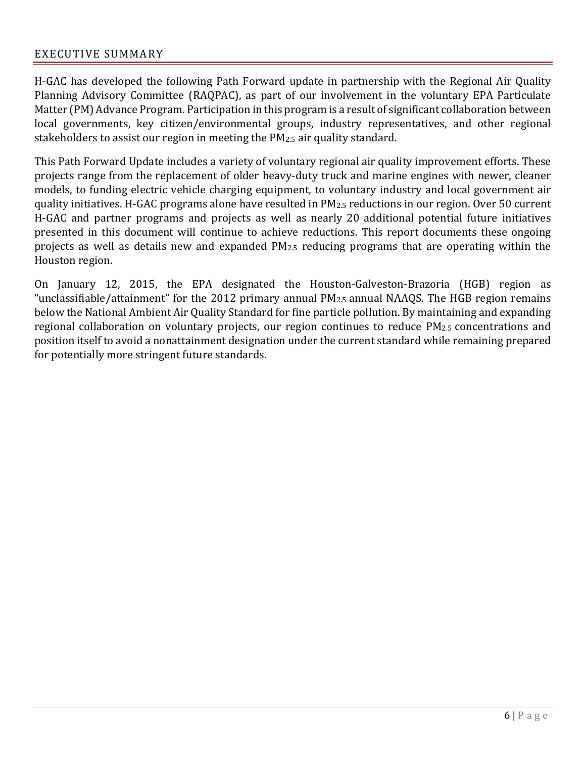#### EXECUTIVE SUMMARY

H-GAC has developed the following Path Forward update in partnership with the Regional Air Quality Planning Advisory Committee (RAQPAC), as part of our involvement in the voluntary EPA Particulate Matter (PM) Advance Program. Participation in this program is a result of significant collaboration between local governments, key citizen/environmental groups, industry representatives, and other regional stakeholders to assist our region in meeting the PM2.5 air quality standard.

This Path Forward Update includes a variety of voluntary regional air quality improvement efforts. These projects range from the replacement of older heavy-duty truck and marine engines with newer, cleaner models, to funding electric vehicle charging equipment, to voluntary industry and local government air quality initiatives. H-GAC programs alone have resulted in PM2.5 reductions in our region. Over 50 current H-GAC and partner programs and projects as well as nearly 20 additional potential future initiatives presented in this document will continue to achieve reductions. This report documents these ongoing projects as well as details new and expanded PM2.5 reducing programs that are operating within the Houston region.

On January 12, 2015, the EPA designated the Houston-Galveston-Brazoria (HGB) region as "unclassifiable/attainment" for the 2012 primary annual PM2.5 annual NAAQS. The HGB region remains below the National Ambient Air Quality Standard for fine particle pollution. By maintaining and expanding regional collaboration on voluntary projects, our region continues to reduce PM2.5 concentrations and position itself to avoid a nonattainment designation under the current standard while remaining prepared for potentially more stringent future standards.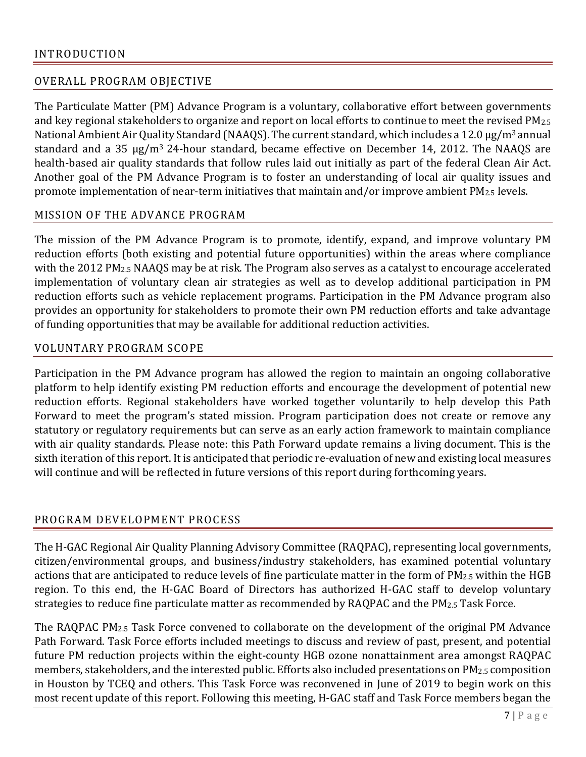## OVERALL PROGRAM OBJECTIVE

The Particulate Matter (PM) Advance Program is a voluntary, collaborative effort between governments and key regional stakeholders to organize and report on local efforts to continue to meet the revised PM2.5 National Ambient Air Quality Standard (NAAQS). The current standard, which includes a 12.0 μg/m<sup>3</sup> annual standard and a 35 μg/m3 24-hour standard, became effective on December 14, 2012. The NAAQS are health-based air quality standards that follow rules laid out initially as part of the federal Clean Air Act. Another goal of the PM Advance Program is to foster an understanding of local air quality issues and promote implementation of near-term initiatives that maintain and/or improve ambient PM2.5 levels.

#### MISSION OF THE ADVANCE PROGRAM

The mission of the PM Advance Program is to promote, identify, expand, and improve voluntary PM reduction efforts (both existing and potential future opportunities) within the areas where compliance with the 2012 PM2.5 NAAQS may be at risk. The Program also serves as a catalyst to encourage accelerated implementation of voluntary clean air strategies as well as to develop additional participation in PM reduction efforts such as vehicle replacement programs. Participation in the PM Advance program also provides an opportunity for stakeholders to promote their own PM reduction efforts and take advantage of funding opportunities that may be available for additional reduction activities.

#### VOLUNTARY PROGRAM SCOPE

Participation in the PM Advance program has allowed the region to maintain an ongoing collaborative platform to help identify existing PM reduction efforts and encourage the development of potential new reduction efforts. Regional stakeholders have worked together voluntarily to help develop this Path Forward to meet the program's stated mission. Program participation does not create or remove any statutory or regulatory requirements but can serve as an early action framework to maintain compliance with air quality standards. Please note: this Path Forward update remains a living document. This is the sixth iteration of this report. It is anticipated that periodic re-evaluation of new and existing local measures will continue and will be reflected in future versions of this report during forthcoming years.

#### PROGRAM DEVELOPMENT PROCESS

The H-GAC Regional Air Quality Planning Advisory Committee (RAQPAC), representing local governments, citizen/environmental groups, and business/industry stakeholders, has examined potential voluntary actions that are anticipated to reduce levels of fine particulate matter in the form of PM2.5 within the HGB region. To this end, the H-GAC Board of Directors has authorized H-GAC staff to develop voluntary strategies to reduce fine particulate matter as recommended by RAQPAC and the PM2.5 Task Force.

The RAQPAC PM2.5 Task Force convened to collaborate on the development of the original PM Advance Path Forward. Task Force efforts included meetings to discuss and review of past, present, and potential future PM reduction projects within the eight-county HGB ozone nonattainment area amongst RAQPAC members, stakeholders, and the interested public. Efforts also included presentations on PM2.5 composition in Houston by TCEQ and others. This Task Force was reconvened in June of 2019 to begin work on this most recent update of this report. Following this meeting, H-GAC staff and Task Force members began the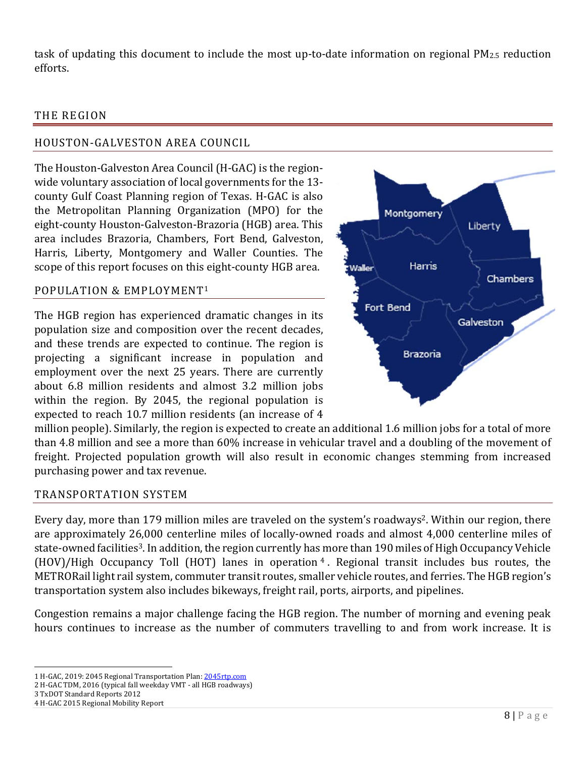task of updating this document to include the most up-to-date information on regional PM2.5 reduction efforts.

#### THE REGION

## HOUSTON-GALVESTON AREA COUNCIL

The Houston-Galveston Area Council (H-GAC) is the regionwide voluntary association of local governments for the 13 county Gulf Coast Planning region of Texas. H-GAC is also the Metropolitan Planning Organization (MPO) for the eight-county Houston-Galveston-Brazoria (HGB) area. This area includes Brazoria, Chambers, Fort Bend, Galveston, Harris, Liberty, Montgomery and Waller Counties. The scope of this report focuses on this eight-county HGB area.

#### POPULATION & EMPLOYMENT1

The HGB region has experienced dramatic changes in its population size and composition over the recent decades, and these trends are expected to continue. The region is projecting a significant increase in population and employment over the next 25 years. There are currently about 6.8 million residents and almost 3.2 million jobs within the region. By 2045, the regional population is expected to reach 10.7 million residents (an increase of 4



million people). Similarly, the region is expected to create an additional 1.6 million jobs for a total of more than 4.8 million and see a more than 60% increase in vehicular travel and a doubling of the movement of freight. Projected population growth will also result in economic changes stemming from increased purchasing power and tax revenue.

#### TRANSPORTATION SYSTEM

Every day, more than 179 million miles are traveled on the system's roadways2. Within our region, there are approximately 26,000 centerline miles of locally-owned roads and almost 4,000 centerline miles of state-owned facilities3. In addition, the region currently has more than 190 miles of High Occupancy Vehicle (HOV)/High Occupancy Toll (HOT) lanes in operation <sup>4</sup> . Regional transit includes bus routes, the METRORail light rail system, commuter transit routes, smaller vehicle routes, and ferries. The HGB region's transportation system also includes bikeways, freight rail, ports, airports, and pipelines.

Congestion remains a major challenge facing the HGB region. The number of morning and evening peak hours continues to increase as the number of commuters travelling to and from work increase. It is

3 TxDOT Standard Reports 2012

 $\overline{\phantom{0}}$ 1 H-GAC, 2019: 2045 Regional Transportation Plan: 2045rtp.com

<sup>2</sup> H-GAC TDM, 2016 (typical fall weekday VMT - all HGB roadways)

<sup>4</sup> H-GAC 2015 Regional Mobility Report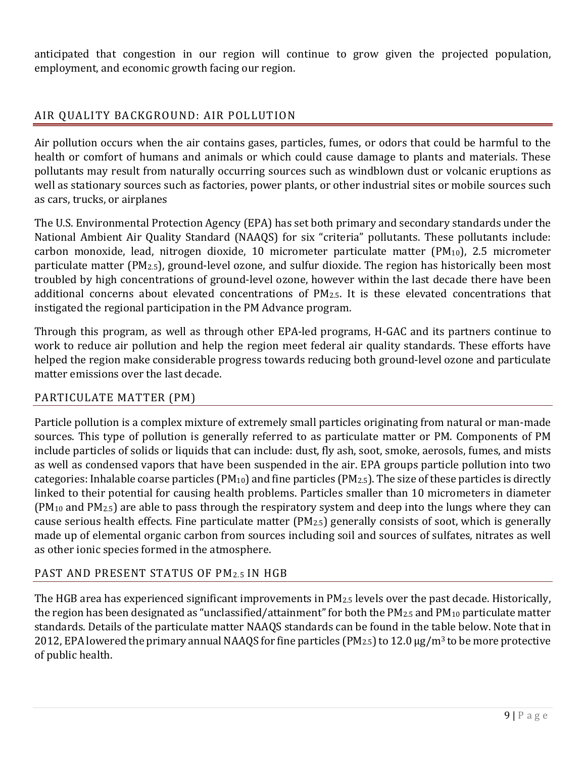anticipated that congestion in our region will continue to grow given the projected population, employment, and economic growth facing our region.

## AIR QUALITY BACKGROUND: AIR POLLUTION

Air pollution occurs when the air contains gases, particles, fumes, or odors that could be harmful to the health or comfort of humans and animals or which could cause damage to plants and materials. These pollutants may result from naturally occurring sources such as windblown dust or volcanic eruptions as well as stationary sources such as factories, power plants, or other industrial sites or mobile sources such as cars, trucks, or airplanes

The U.S. Environmental Protection Agency (EPA) has set both primary and secondary standards under the National Ambient Air Quality Standard (NAAQS) for six "criteria" pollutants. These pollutants include: carbon monoxide, lead, nitrogen dioxide, 10 micrometer particulate matter ( $PM_{10}$ ), 2.5 micrometer particulate matter (PM2.5), ground-level ozone, and sulfur dioxide. The region has historically been most troubled by high concentrations of ground-level ozone, however within the last decade there have been additional concerns about elevated concentrations of PM2.5. It is these elevated concentrations that instigated the regional participation in the PM Advance program.

Through this program, as well as through other EPA-led programs, H-GAC and its partners continue to work to reduce air pollution and help the region meet federal air quality standards. These efforts have helped the region make considerable progress towards reducing both ground-level ozone and particulate matter emissions over the last decade.

## PARTICULATE MATTER (PM)

Particle pollution is a complex mixture of extremely small particles originating from natural or man-made sources. This type of pollution is generally referred to as particulate matter or PM. Components of PM include particles of solids or liquids that can include: dust, fly ash, soot, smoke, aerosols, fumes, and mists as well as condensed vapors that have been suspended in the air. EPA groups particle pollution into two categories: Inhalable coarse particles (PM10) and fine particles (PM2.5). The size of these particles is directly linked to their potential for causing health problems. Particles smaller than 10 micrometers in diameter (PM10 and PM2.5) are able to pass through the respiratory system and deep into the lungs where they can cause serious health effects. Fine particulate matter (PM2.5) generally consists of soot, which is generally made up of elemental organic carbon from sources including soil and sources of sulfates, nitrates as well as other ionic species formed in the atmosphere.

## PAST AND PRESENT STATUS OF PM2.5 IN HGB

The HGB area has experienced significant improvements in PM2.5 levels over the past decade. Historically, the region has been designated as "unclassified/attainment" for both the  $PM_{2.5}$  and  $PM_{10}$  particulate matter standards. Details of the particulate matter NAAQS standards can be found in the table below. Note that in 2012, EPA lowered the primary annual NAAQS for fine particles (PM<sub>2.5</sub>) to 12.0  $\mu$ g/m<sup>3</sup> to be more protective of public health.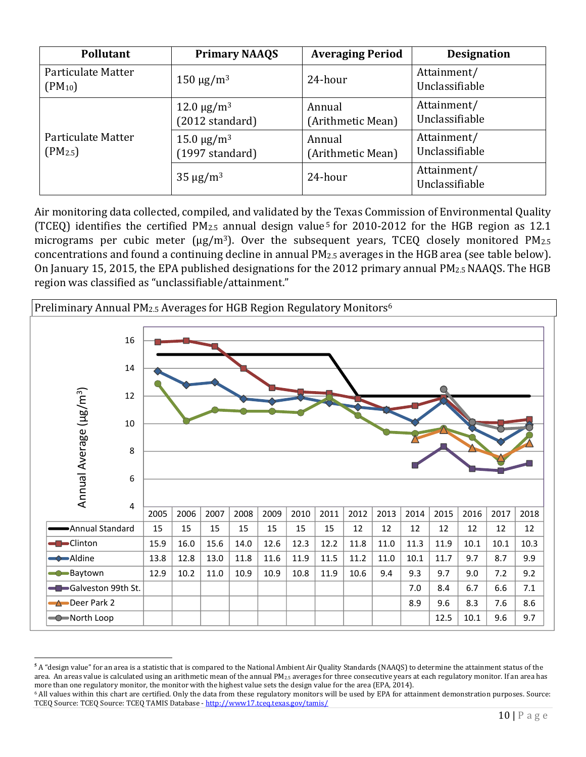| <b>Pollutant</b>                   | <b>Primary NAAQS</b>                             | <b>Averaging Period</b>     | <b>Designation</b>            |
|------------------------------------|--------------------------------------------------|-----------------------------|-------------------------------|
| Particulate Matter<br>$(PM_{10})$  | $150 \mu g/m^3$                                  | 24-hour                     | Attainment/<br>Unclassifiable |
|                                    | $12.0 \,\mathrm{\mu g/m^3}$<br>$(2012$ standard) | Annual<br>(Arithmetic Mean) | Attainment/<br>Unclassifiable |
| Particulate Matter<br>$(PM_{2.5})$ | $15.0 \,\mathrm{\upmu g/m^3}$<br>(1997 standard) | Annual<br>(Arithmetic Mean) | Attainment/<br>Unclassifiable |
|                                    | $35 \mu g/m^3$                                   | 24-hour                     | Attainment/<br>Unclassifiable |

Air monitoring data collected, compiled, and validated by the Texas Commission of Environmental Quality (TCEQ) identifies the certified  $PM_{2.5}$  annual design value<sup>5</sup> for 2010-2012 for the HGB region as 12.1 micrograms per cubic meter ( $\mu$ g/m<sup>3</sup>). Over the subsequent years, TCEQ closely monitored PM<sub>2.5</sub> concentrations and found a continuing decline in annual PM2.5 averages in the HGB area (see table below). On January 15, 2015, the EPA published designations for the 2012 primary annual PM2.5 NAAQS. The HGB region was classified as "unclassifiable/attainment."



 $\overline{a}$ **5** A "design value" for an area is a statistic that is compared to the National Ambient Air Quality Standards (NAAQS) to determine the attainment status of the area. An areas value is calculated using an arithmetic mean of the annual PM<sub>2.5</sub> averages for three consecutive years at each regulatory monitor. If an area has more than one regulatory monitor, the monitor with the highest value sets the design value for the area (EPA, 2014).<br><sup>6</sup> All values within this chart are certified. Only the data from these regulatory monitors will be used

TCEQ Source: TCEQ Source: TCEQ TAMIS Database - http://www17.tceq.texas.gov/tamis/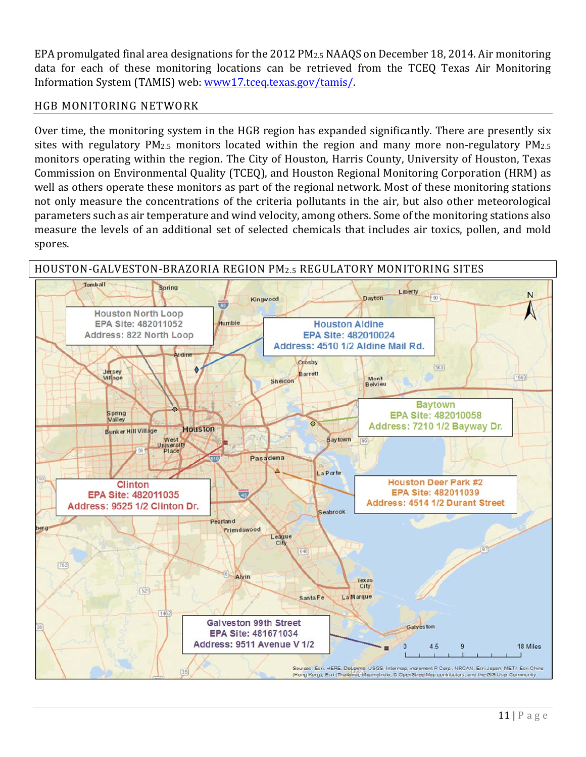EPA promulgated final area designations for the 2012 PM2.5 NAAQS on December 18, 2014. Air monitoring data for each of these monitoring locations can be retrieved from the TCEQ Texas Air Monitoring Information System (TAMIS) web: www17.tceq.texas.gov/tamis/.

## HGB MONITORING NETWORK

Over time, the monitoring system in the HGB region has expanded significantly. There are presently six sites with regulatory PM<sub>2.5</sub> monitors located within the region and many more non-regulatory PM<sub>2.5</sub> monitors operating within the region. The City of Houston, Harris County, University of Houston, Texas Commission on Environmental Quality (TCEQ), and Houston Regional Monitoring Corporation (HRM) as well as others operate these monitors as part of the regional network. Most of these monitoring stations not only measure the concentrations of the criteria pollutants in the air, but also other meteorological parameters such as air temperature and wind velocity, among others. Some of the monitoring stations also measure the levels of an additional set of selected chemicals that includes air toxics, pollen, and mold spores.

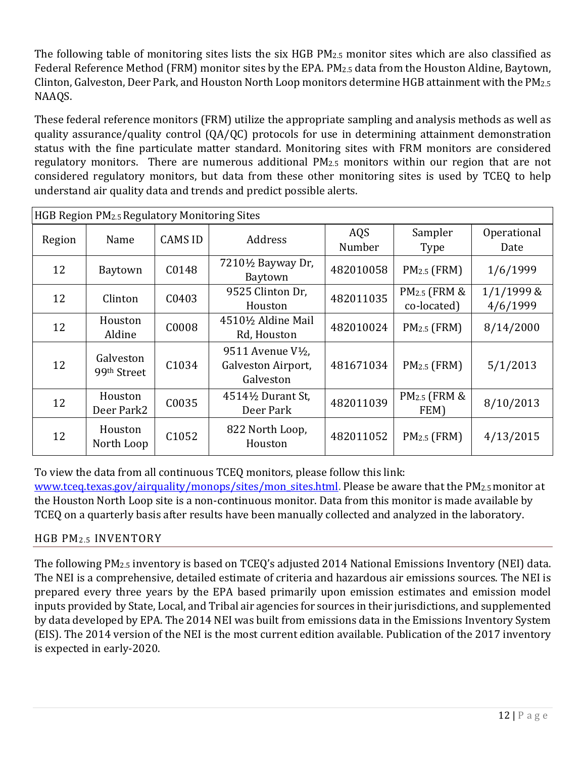The following table of monitoring sites lists the six HGB PM2.5 monitor sites which are also classified as Federal Reference Method (FRM) monitor sites by the EPA. PM2.5 data from the Houston Aldine, Baytown, Clinton, Galveston, Deer Park, and Houston North Loop monitors determine HGB attainment with the PM2.5 NAAQS.

These federal reference monitors (FRM) utilize the appropriate sampling and analysis methods as well as quality assurance/quality control (QA/QC) protocols for use in determining attainment demonstration status with the fine particulate matter standard. Monitoring sites with FRM monitors are considered regulatory monitors. There are numerous additional PM2.5 monitors within our region that are not considered regulatory monitors, but data from these other monitoring sites is used by TCEQ to help understand air quality data and trends and predict possible alerts.

| HGB Region PM2.5 Regulatory Monitoring Sites |                                      |                   |                                                                                |               |                                         |                        |
|----------------------------------------------|--------------------------------------|-------------------|--------------------------------------------------------------------------------|---------------|-----------------------------------------|------------------------|
| Region                                       | Name                                 | <b>CAMS ID</b>    | Address                                                                        | AQS<br>Number | Sampler<br><b>Type</b>                  | Operational<br>Date    |
| 12                                           | Baytown                              | C0148             | 7210½ Bayway Dr,<br>Baytown                                                    | 482010058     | $PM2.5$ (FRM)                           | 1/6/1999               |
| 12                                           | Clinton                              | C0403             | 9525 Clinton Dr,<br>Houston                                                    | 482011035     | PM <sub>2.5</sub> (FRM &<br>co-located) | 1/1/1999 &<br>4/6/1999 |
| 12                                           | Houston<br>Aldine                    | C0008             | 45101/2 Aldine Mail<br>Rd, Houston                                             | 482010024     | $PM2.5$ (FRM)                           | 8/14/2000              |
| 12                                           | Galveston<br>99 <sup>th</sup> Street | C1034             | 9511 Avenue V <sup>1</sup> / <sub>2</sub> ,<br>Galveston Airport,<br>Galveston | 481671034     | $PM2.5$ (FRM)                           | 5/1/2013               |
| 12                                           | Houston<br>Deer Park2                | C0035             | 4514½ Durant St,<br>Deer Park                                                  | 482011039     | PM <sub>2.5</sub> (FRM &<br>FEM)        | 8/10/2013              |
| 12                                           | Houston<br>North Loop                | C <sub>1052</sub> | 822 North Loop,<br>Houston                                                     | 482011052     | $PM2.5$ (FRM)                           | 4/13/2015              |

To view the data from all continuous TCEQ monitors, please follow this link:

www.tceq.texas.gov/airquality/monops/sites/mon\_sites.html. Please be aware that the PM<sub>2.5</sub> monitor at the Houston North Loop site is a non-continuous monitor. Data from this monitor is made available by TCEQ on a quarterly basis after results have been manually collected and analyzed in the laboratory.

## HGB PM2.5 INVENTORY

The following PM2.5 inventory is based on TCEQ's adjusted 2014 National Emissions Inventory (NEI) data. The NEI is a comprehensive, detailed estimate of criteria and hazardous air emissions sources. The NEI is prepared every three years by the EPA based primarily upon emission estimates and emission model inputs provided by State, Local, and Tribal air agencies for sources in their jurisdictions, and supplemented by data developed by EPA. The 2014 NEI was built from emissions data in the Emissions Inventory System (EIS). The 2014 version of the NEI is the most current edition available. Publication of the 2017 inventory is expected in early-2020.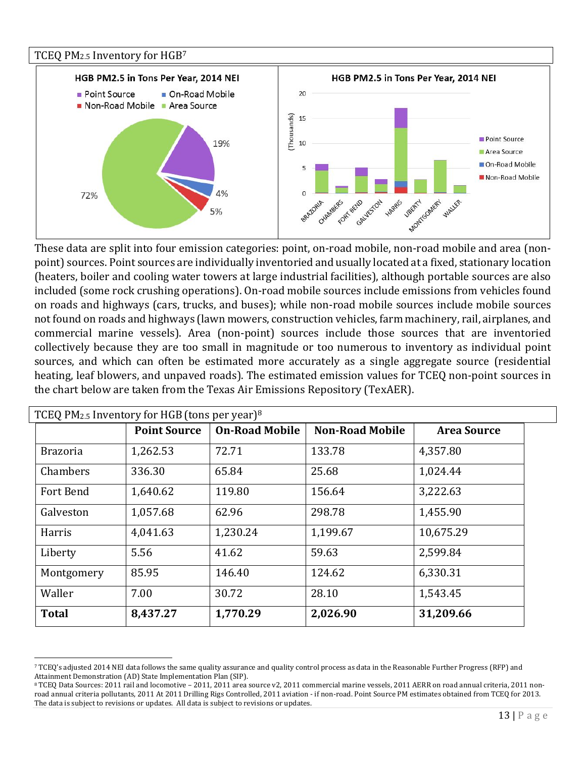

These data are split into four emission categories: point, on-road mobile, non-road mobile and area (nonpoint) sources. Point sources are individually inventoried and usually located at a fixed, stationary location (heaters, boiler and cooling water towers at large industrial facilities), although portable sources are also included (some rock crushing operations). On-road mobile sources include emissions from vehicles found on roads and highways (cars, trucks, and buses); while non-road mobile sources include mobile sources not found on roads and highways (lawn mowers, construction vehicles, farm machinery, rail, airplanes, and commercial marine vessels). Area (non-point) sources include those sources that are inventoried collectively because they are too small in magnitude or too numerous to inventory as individual point sources, and which can often be estimated more accurately as a single aggregate source (residential heating, leaf blowers, and unpaved roads). The estimated emission values for TCEQ non-point sources in the chart below are taken from the Texas Air Emissions Repository (TexAER).

| TCEQ PM <sub>2.5</sub> Inventory for HGB (tons per year) <sup>8</sup> |                     |                       |                        |                    |
|-----------------------------------------------------------------------|---------------------|-----------------------|------------------------|--------------------|
|                                                                       | <b>Point Source</b> | <b>On-Road Mobile</b> | <b>Non-Road Mobile</b> | <b>Area Source</b> |
| <b>Brazoria</b>                                                       | 1,262.53            | 72.71                 | 133.78                 | 4,357.80           |
| Chambers                                                              | 336.30              | 65.84                 | 25.68                  | 1,024.44           |
| <b>Fort Bend</b>                                                      | 1,640.62            | 119.80                | 156.64                 | 3,222.63           |
| Galveston                                                             | 1,057.68            | 62.96                 | 298.78                 | 1,455.90           |
| Harris                                                                | 4,041.63            | 1,230.24              | 1,199.67               | 10,675.29          |
| Liberty                                                               | 5.56                | 41.62                 | 59.63                  | 2,599.84           |
| Montgomery                                                            | 85.95               | 146.40                | 124.62                 | 6,330.31           |
| Waller                                                                | 7.00                | 30.72                 | 28.10                  | 1,543.45           |
| <b>Total</b>                                                          | 8,437.27            | 1,770.29              | 2,026.90               | 31,209.66          |

 $\overline{a}$ 7 TCEQ's adjusted 2014 NEI data follows the same quality assurance and quality control process as data in the Reasonable Further Progress (RFP) and Attainment Demonstration (AD) State Implementation Plan (SIP).

<sup>8</sup> TCEQ Data Sources: 2011 rail and locomotive – 2011, 2011 area source v2, 2011 commercial marine vessels, 2011 AERR on road annual criteria, 2011 nonroad annual criteria pollutants, 2011 At 2011 Drilling Rigs Controlled, 2011 aviation - if non-road. Point Source PM estimates obtained from TCEQ for 2013. The data is subject to revisions or updates. All data is subject to revisions or updates.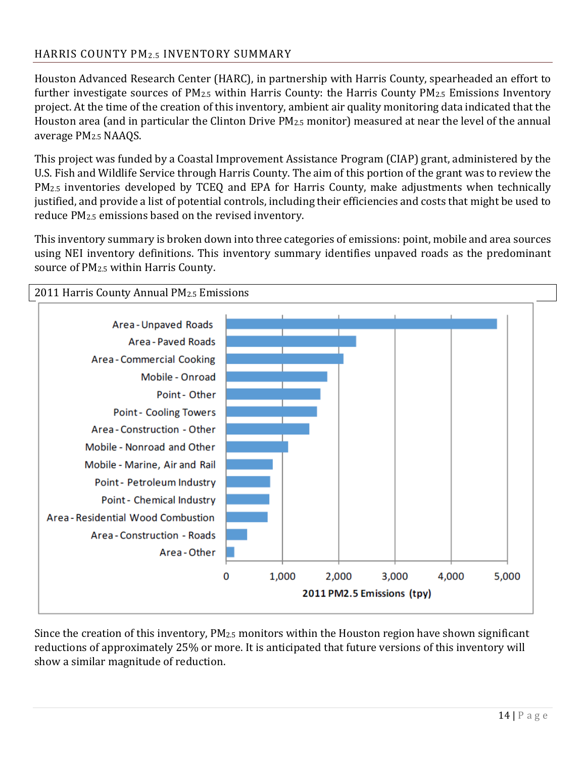## HARRIS COUNTY PM2.5 INVENTORY SUMMARY

Houston Advanced Research Center (HARC), in partnership with Harris County, spearheaded an effort to further investigate sources of  $PM_{2.5}$  within Harris County: the Harris County  $PM_{2.5}$  Emissions Inventory project. At the time of the creation of this inventory, ambient air quality monitoring data indicated that the Houston area (and in particular the Clinton Drive PM2.5 monitor) measured at near the level of the annual average PM2.5 NAAQS.

This project was funded by a Coastal Improvement Assistance Program (CIAP) grant, administered by the U.S. Fish and Wildlife Service through Harris County. The aim of this portion of the grant was to review the PM2.5 inventories developed by TCEQ and EPA for Harris County, make adjustments when technically justified, and provide a list of potential controls, including their efficiencies and costs that might be used to reduce PM2.5 emissions based on the revised inventory.

This inventory summary is broken down into three categories of emissions: point, mobile and area sources using NEI inventory definitions. This inventory summary identifies unpaved roads as the predominant source of PM2.5 within Harris County.



Since the creation of this inventory,  $PM_{2.5}$  monitors within the Houston region have shown significant reductions of approximately 25% or more. It is anticipated that future versions of this inventory will show a similar magnitude of reduction.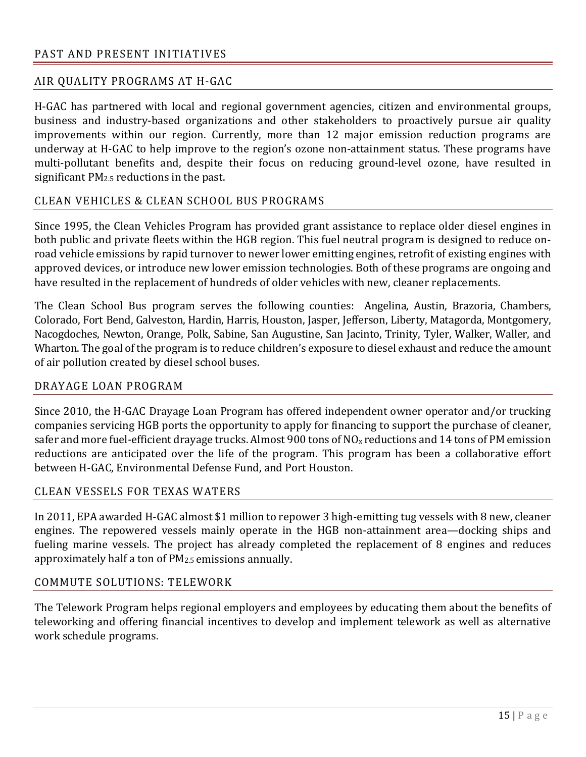## AIR QUALITY PROGRAMS AT H-GAC

H-GAC has partnered with local and regional government agencies, citizen and environmental groups, business and industry-based organizations and other stakeholders to proactively pursue air quality improvements within our region. Currently, more than 12 major emission reduction programs are underway at H-GAC to help improve to the region's ozone non-attainment status. These programs have multi-pollutant benefits and, despite their focus on reducing ground-level ozone, have resulted in significant PM2.5 reductions in the past.

## CLEAN VEHICLES & CLEAN SCHOOL BUS PROGRAMS

Since 1995, the Clean Vehicles Program has provided grant assistance to replace older diesel engines in both public and private fleets within the HGB region. This fuel neutral program is designed to reduce onroad vehicle emissions by rapid turnover to newer lower emitting engines, retrofit of existing engines with approved devices, or introduce new lower emission technologies. Both of these programs are ongoing and have resulted in the replacement of hundreds of older vehicles with new, cleaner replacements.

The Clean School Bus program serves the following counties: Angelina, Austin, Brazoria, Chambers, Colorado, Fort Bend, Galveston, Hardin, Harris, Houston, Jasper, Jefferson, Liberty, Matagorda, Montgomery, Nacogdoches, Newton, Orange, Polk, Sabine, San Augustine, San Jacinto, Trinity, Tyler, Walker, Waller, and Wharton. The goal of the program is to reduce children's exposure to diesel exhaust and reduce the amount of air pollution created by diesel school buses.

## DRAYAGE LOAN PROGRAM

Since 2010, the H-GAC Drayage Loan Program has offered independent owner operator and/or trucking companies servicing HGB ports the opportunity to apply for financing to support the purchase of cleaner, safer and more fuel-efficient drayage trucks. Almost 900 tons of NO<sub>x</sub> reductions and 14 tons of PM emission reductions are anticipated over the life of the program. This program has been a collaborative effort between H-GAC, Environmental Defense Fund, and Port Houston.

## CLEAN VESSELS FOR TEXAS WATERS

In 2011, EPA awarded H-GAC almost \$1 million to repower 3 high-emitting tug vessels with 8 new, cleaner engines. The repowered vessels mainly operate in the HGB non-attainment area—docking ships and fueling marine vessels. The project has already completed the replacement of 8 engines and reduces approximately half a ton of PM2.5 emissions annually.

#### COMMUTE SOLUTIONS: TELEWORK

The Telework Program helps regional employers and employees by educating them about the benefits of teleworking and offering financial incentives to develop and implement telework as well as alternative work schedule programs.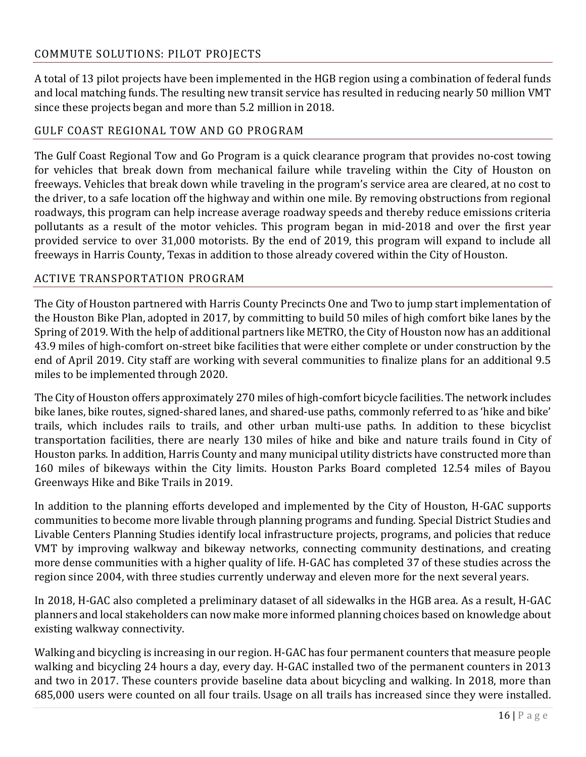## COMMUTE SOLUTIONS: PILOT PROJECTS

A total of 13 pilot projects have been implemented in the HGB region using a combination of federal funds and local matching funds. The resulting new transit service has resulted in reducing nearly 50 million VMT since these projects began and more than 5.2 million in 2018.

## GULF COAST REGIONAL TOW AND GO PROGRAM

The Gulf Coast Regional Tow and Go Program is a quick clearance program that provides no-cost towing for vehicles that break down from mechanical failure while traveling within the City of Houston on freeways. Vehicles that break down while traveling in the program's service area are cleared, at no cost to the driver, to a safe location off the highway and within one mile. By removing obstructions from regional roadways, this program can help increase average roadway speeds and thereby reduce emissions criteria pollutants as a result of the motor vehicles. This program began in mid-2018 and over the first year provided service to over 31,000 motorists. By the end of 2019, this program will expand to include all freeways in Harris County, Texas in addition to those already covered within the City of Houston.

## ACTIVE TRANSPORTATION PROGRAM

The City of Houston partnered with Harris County Precincts One and Two to jump start implementation of the Houston Bike Plan, adopted in 2017, by committing to build 50 miles of high comfort bike lanes by the Spring of 2019. With the help of additional partners like METRO, the City of Houston now has an additional 43.9 miles of high-comfort on-street bike facilities that were either complete or under construction by the end of April 2019. City staff are working with several communities to finalize plans for an additional 9.5 miles to be implemented through 2020.

The City of Houston offers approximately 270 miles of high-comfort bicycle facilities. The network includes bike lanes, bike routes, signed-shared lanes, and shared-use paths, commonly referred to as 'hike and bike' trails, which includes rails to trails, and other urban multi-use paths. In addition to these bicyclist transportation facilities, there are nearly 130 miles of hike and bike and nature trails found in City of Houston parks. In addition, Harris County and many municipal utility districts have constructed more than 160 miles of bikeways within the City limits. Houston Parks Board completed 12.54 miles of Bayou Greenways Hike and Bike Trails in 2019.

In addition to the planning efforts developed and implemented by the City of Houston, H-GAC supports communities to become more livable through planning programs and funding. Special District Studies and Livable Centers Planning Studies identify local infrastructure projects, programs, and policies that reduce VMT by improving walkway and bikeway networks, connecting community destinations, and creating more dense communities with a higher quality of life. H-GAC has completed 37 of these studies across the region since 2004, with three studies currently underway and eleven more for the next several years.

In 2018, H-GAC also completed a preliminary dataset of all sidewalks in the HGB area. As a result, H-GAC planners and local stakeholders can now make more informed planning choices based on knowledge about existing walkway connectivity.

Walking and bicycling is increasing in our region. H-GAC has four permanent counters that measure people walking and bicycling 24 hours a day, every day. H-GAC installed two of the permanent counters in 2013 and two in 2017. These counters provide baseline data about bicycling and walking. In 2018, more than 685,000 users were counted on all four trails. Usage on all trails has increased since they were installed.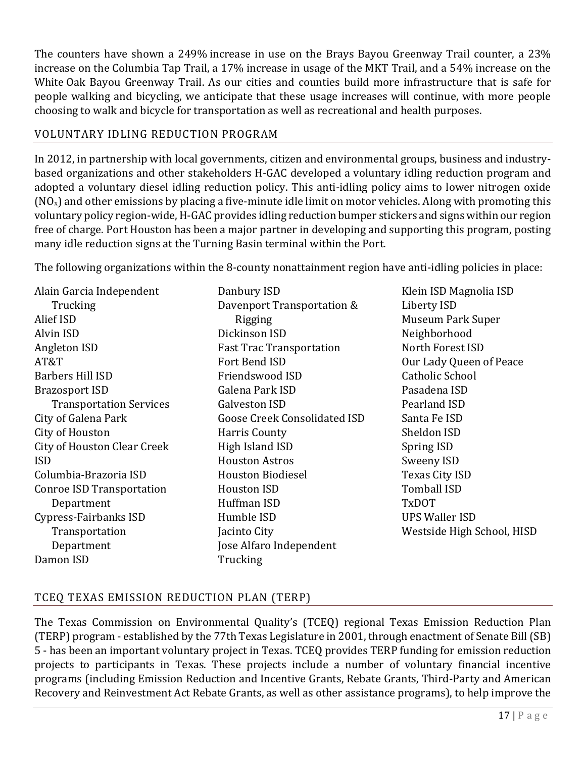The counters have shown a 249% increase in use on the Brays Bayou Greenway Trail counter, a 23% increase on the Columbia Tap Trail, a 17% increase in usage of the MKT Trail, and a 54% increase on the White Oak Bayou Greenway Trail. As our cities and counties build more infrastructure that is safe for people walking and bicycling, we anticipate that these usage increases will continue, with more people choosing to walk and bicycle for transportation as well as recreational and health purposes.

## VOLUNTARY IDLING REDUCTION PROGRAM

In 2012, in partnership with local governments, citizen and environmental groups, business and industrybased organizations and other stakeholders H-GAC developed a voluntary idling reduction program and adopted a voluntary diesel idling reduction policy. This anti-idling policy aims to lower nitrogen oxide  $(NO_x)$  and other emissions by placing a five-minute idle limit on motor vehicles. Along with promoting this voluntary policy region-wide, H-GAC provides idling reduction bumper stickers and signs within our region free of charge. Port Houston has been a major partner in developing and supporting this program, posting many idle reduction signs at the Turning Basin terminal within the Port.

The following organizations within the 8-county nonattainment region have anti-idling policies in place:

Alain Garcia Independent **Trucking** Alief ISD Alvin ISD Angleton ISD AT&T Barbers Hill ISD Brazosport ISD Transportation Services City of Galena Park City of Houston City of Houston Clear Creek ISD Columbia-Brazoria ISD Conroe ISD Transportation Department Cypress-Fairbanks ISD **Transportation** Department Damon ISD

- Danbury ISD Davenport Transportation & Rigging Dickinson ISD Fast Trac Transportation Fort Bend ISD Friendswood ISD Galena Park ISD Galveston ISD Goose Creek Consolidated ISD Harris County High Island ISD Houston Astros Houston Biodiesel Houston ISD Huffman ISD Humble ISD Jacinto City Jose Alfaro Independent **Trucking**
- Klein ISD Magnolia ISD Liberty ISD Museum Park Super Neighborhood North Forest ISD Our Lady Queen of Peace Catholic School Pasadena ISD Pearland ISD Santa Fe ISD Sheldon ISD Spring ISD Sweeny ISD Texas City ISD Tomball ISD TxDOT UPS Waller ISD Westside High School, HISD

## TCEQ TEXAS EMISSION REDUCTION PLAN (TERP)

The Texas Commission on Environmental Quality's (TCEQ) regional Texas Emission Reduction Plan (TERP) program - established by the 77th Texas Legislature in 2001, through enactment of Senate Bill (SB) 5 - has been an important voluntary project in Texas. TCEQ provides TERP funding for emission reduction projects to participants in Texas. These projects include a number of voluntary financial incentive programs (including Emission Reduction and Incentive Grants, Rebate Grants, Third-Party and American Recovery and Reinvestment Act Rebate Grants, as well as other assistance programs), to help improve the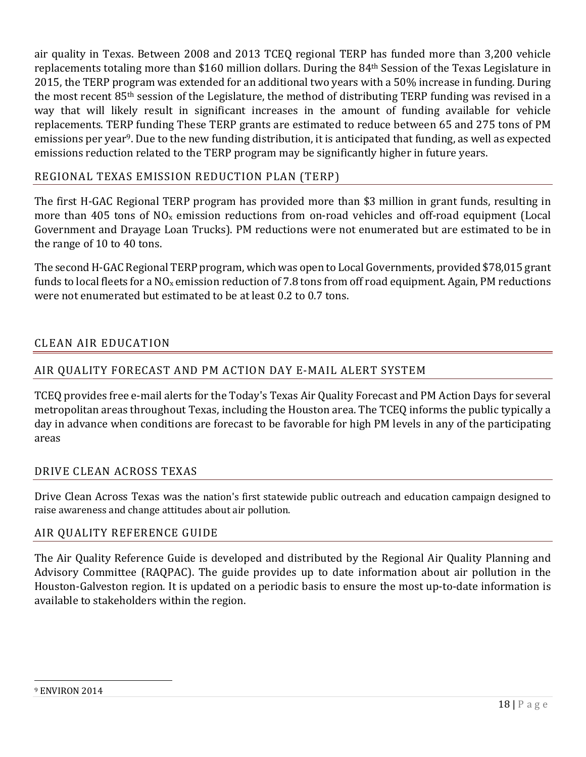air quality in Texas. Between 2008 and 2013 TCEQ regional TERP has funded more than 3,200 vehicle replacements totaling more than \$160 million dollars. During the 84th Session of the Texas Legislature in 2015, the TERP program was extended for an additional two years with a 50% increase in funding. During the most recent 85th session of the Legislature, the method of distributing TERP funding was revised in a way that will likely result in significant increases in the amount of funding available for vehicle replacements. TERP funding These TERP grants are estimated to reduce between 65 and 275 tons of PM emissions per year9. Due to the new funding distribution, it is anticipated that funding, as well as expected emissions reduction related to the TERP program may be significantly higher in future years.

## REGIONAL TEXAS EMISSION REDUCTION PLAN (TERP)

The first H-GAC Regional TERP program has provided more than \$3 million in grant funds, resulting in more than 405 tons of NOx emission reductions from on-road vehicles and off-road equipment (Local Government and Drayage Loan Trucks). PM reductions were not enumerated but are estimated to be in the range of 10 to 40 tons.

The second H-GAC Regional TERP program, which was open to Local Governments, provided \$78,015 grant funds to local fleets for a  $NO<sub>x</sub>$  emission reduction of 7.8 tons from off road equipment. Again, PM reductions were not enumerated but estimated to be at least 0.2 to 0.7 tons.

## CLEAN AIR EDUCATION

## AIR QUALITY FORECAST AND PM ACTION DAY E-MAIL ALERT SYSTEM

TCEQ provides free e-mail alerts for the Today's Texas Air Quality Forecast and PM Action Days for several metropolitan areas throughout Texas, including the Houston area. The TCEQ informs the public typically a day in advance when conditions are forecast to be favorable for high PM levels in any of the participating areas

#### DRIVE CLEAN ACROSS TEXAS

Drive Clean Across Texas was the nation's first statewide public outreach and education campaign designed to raise awareness and change attitudes about air pollution.

#### AIR QUALITY REFERENCE GUIDE

The Air Quality Reference Guide is developed and distributed by the Regional Air Quality Planning and Advisory Committee (RAQPAC). The guide provides up to date information about air pollution in the Houston-Galveston region. It is updated on a periodic basis to ensure the most up-to-date information is available to stakeholders within the region.

 $\overline{\phantom{0}}$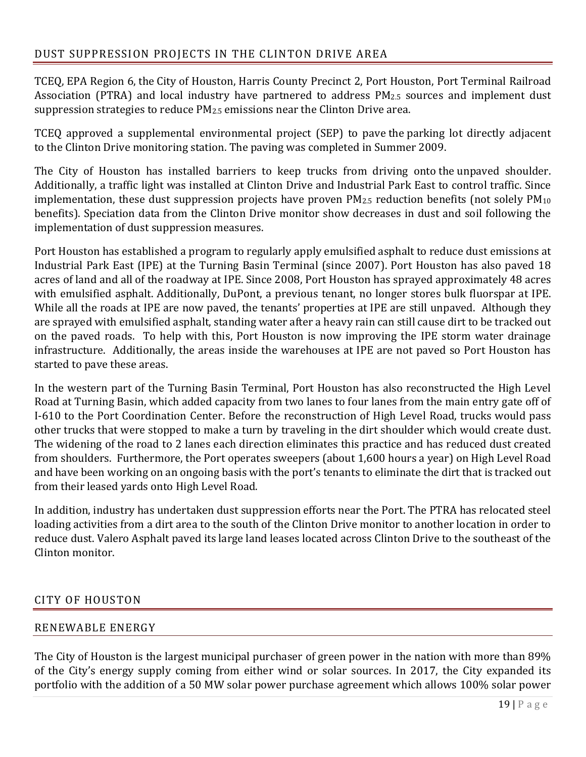TCEQ, EPA Region 6, the City of Houston, Harris County Precinct 2, Port Houston, Port Terminal Railroad Association (PTRA) and local industry have partnered to address PM2.5 sources and implement dust suppression strategies to reduce PM2.5 emissions near the Clinton Drive area.

TCEQ approved a supplemental environmental project (SEP) to pave the parking lot directly adjacent to the Clinton Drive monitoring station. The paving was completed in Summer 2009.

The City of Houston has installed barriers to keep trucks from driving onto the unpaved shoulder. Additionally, a traffic light was installed at Clinton Drive and Industrial Park East to control traffic. Since implementation, these dust suppression projects have proven PM<sub>2.5</sub> reduction benefits (not solely PM<sub>10</sub>) benefits). Speciation data from the Clinton Drive monitor show decreases in dust and soil following the implementation of dust suppression measures.

Port Houston has established a program to regularly apply emulsified asphalt to reduce dust emissions at Industrial Park East (IPE) at the Turning Basin Terminal (since 2007). Port Houston has also paved 18 acres of land and all of the roadway at IPE. Since 2008, Port Houston has sprayed approximately 48 acres with emulsified asphalt. Additionally, DuPont, a previous tenant, no longer stores bulk fluorspar at IPE. While all the roads at IPE are now paved, the tenants' properties at IPE are still unpaved. Although they are sprayed with emulsified asphalt, standing water after a heavy rain can still cause dirt to be tracked out on the paved roads. To help with this, Port Houston is now improving the IPE storm water drainage infrastructure. Additionally, the areas inside the warehouses at IPE are not paved so Port Houston has started to pave these areas.

In the western part of the Turning Basin Terminal, Port Houston has also reconstructed the High Level Road at Turning Basin, which added capacity from two lanes to four lanes from the main entry gate off of I-610 to the Port Coordination Center. Before the reconstruction of High Level Road, trucks would pass other trucks that were stopped to make a turn by traveling in the dirt shoulder which would create dust. The widening of the road to 2 lanes each direction eliminates this practice and has reduced dust created from shoulders. Furthermore, the Port operates sweepers (about 1,600 hours a year) on High Level Road and have been working on an ongoing basis with the port's tenants to eliminate the dirt that is tracked out from their leased yards onto High Level Road.

In addition, industry has undertaken dust suppression efforts near the Port. The PTRA has relocated steel loading activities from a dirt area to the south of the Clinton Drive monitor to another location in order to reduce dust. Valero Asphalt paved its large land leases located across Clinton Drive to the southeast of the Clinton monitor.

## CITY OF HOUSTON

## RENEWABLE ENERGY

The City of Houston is the largest municipal purchaser of green power in the nation with more than 89% of the City's energy supply coming from either wind or solar sources. In 2017, the City expanded its portfolio with the addition of a 50 MW solar power purchase agreement which allows 100% solar power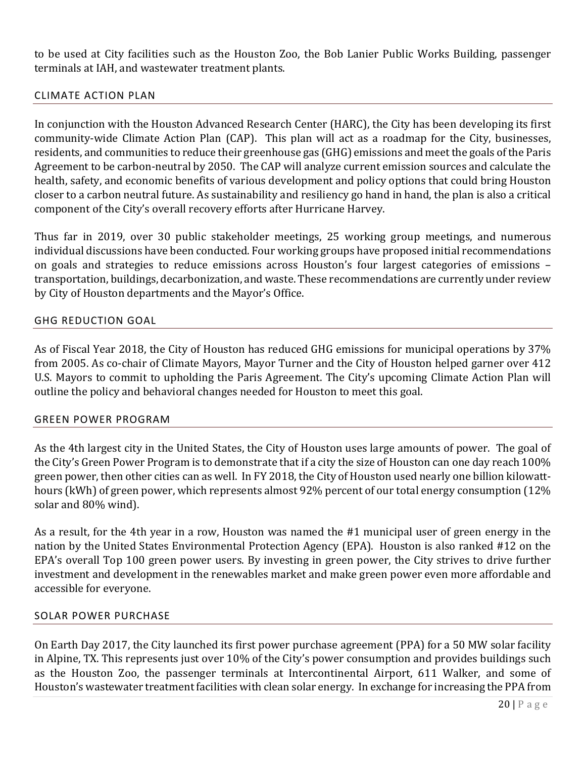to be used at City facilities such as the Houston Zoo, the Bob Lanier Public Works Building, passenger terminals at IAH, and wastewater treatment plants.

#### CLIMATE ACTION PLAN

In conjunction with the Houston Advanced Research Center (HARC), the City has been developing its first community-wide Climate Action Plan (CAP). This plan will act as a roadmap for the City, businesses, residents, and communities to reduce their greenhouse gas (GHG) emissions and meet the goals of the Paris Agreement to be carbon-neutral by 2050. The CAP will analyze current emission sources and calculate the health, safety, and economic benefits of various development and policy options that could bring Houston closer to a carbon neutral future. As sustainability and resiliency go hand in hand, the plan is also a critical component of the City's overall recovery efforts after Hurricane Harvey.

Thus far in 2019, over 30 public stakeholder meetings, 25 working group meetings, and numerous individual discussions have been conducted. Four working groups have proposed initial recommendations on goals and strategies to reduce emissions across Houston's four largest categories of emissions – transportation, buildings, decarbonization, and waste. These recommendations are currently under review by City of Houston departments and the Mayor's Office.

#### GHG REDUCTION GOAL

As of Fiscal Year 2018, the City of Houston has reduced GHG emissions for municipal operations by 37% from 2005. As co-chair of Climate Mayors, Mayor Turner and the City of Houston helped garner over 412 U.S. Mayors to commit to upholding the Paris Agreement. The City's upcoming Climate Action Plan will outline the policy and behavioral changes needed for Houston to meet this goal.

#### GREEN POWER PROGRAM

As the 4th largest city in the United States, the City of Houston uses large amounts of power. The goal of the City's Green Power Program is to demonstrate that if a city the size of Houston can one day reach 100% green power, then other cities can as well. In FY 2018, the City of Houston used nearly one billion kilowatthours (kWh) of green power, which represents almost 92% percent of our total energy consumption (12% solar and 80% wind).

As a result, for the 4th year in a row, Houston was named the #1 municipal user of green energy in the nation by the United States Environmental Protection Agency (EPA). Houston is also ranked #12 on the EPA's overall Top 100 green power users. By investing in green power, the City strives to drive further investment and development in the renewables market and make green power even more affordable and accessible for everyone.

#### SOLAR POWER PURCHASE

On Earth Day 2017, the City launched its first power purchase agreement (PPA) for a 50 MW solar facility in Alpine, TX. This represents just over 10% of the City's power consumption and provides buildings such as the Houston Zoo, the passenger terminals at Intercontinental Airport, 611 Walker, and some of Houston's wastewater treatment facilities with clean solar energy. In exchange for increasing the PPA from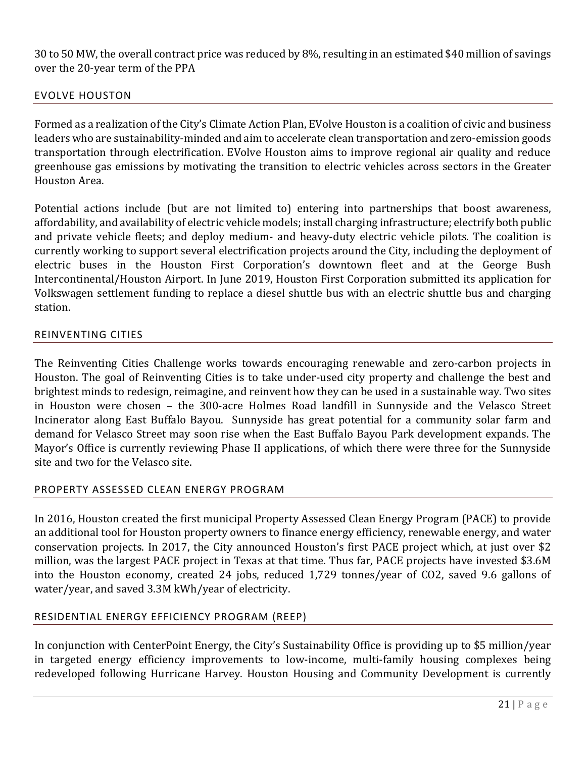30 to 50 MW, the overall contract price was reduced by 8%, resulting in an estimated \$40 million of savings over the 20-year term of the PPA

#### EVOLVE HOUSTON

Formed as a realization of the City's Climate Action Plan, EVolve Houston is a coalition of civic and business leaders who are sustainability-minded and aim to accelerate clean transportation and zero-emission goods transportation through electrification. EVolve Houston aims to improve regional air quality and reduce greenhouse gas emissions by motivating the transition to electric vehicles across sectors in the Greater Houston Area.

Potential actions include (but are not limited to) entering into partnerships that boost awareness, affordability, and availability of electric vehicle models; install charging infrastructure; electrify both public and private vehicle fleets; and deploy medium- and heavy-duty electric vehicle pilots. The coalition is currently working to support several electrification projects around the City, including the deployment of electric buses in the Houston First Corporation's downtown fleet and at the George Bush Intercontinental/Houston Airport. In June 2019, Houston First Corporation submitted its application for Volkswagen settlement funding to replace a diesel shuttle bus with an electric shuttle bus and charging station.

#### REINVENTING CITIES

The Reinventing Cities Challenge works towards encouraging renewable and zero-carbon projects in Houston. The goal of Reinventing Cities is to take under-used city property and challenge the best and brightest minds to redesign, reimagine, and reinvent how they can be used in a sustainable way. Two sites in Houston were chosen – the 300-acre Holmes Road landfill in Sunnyside and the Velasco Street Incinerator along East Buffalo Bayou. Sunnyside has great potential for a community solar farm and demand for Velasco Street may soon rise when the East Buffalo Bayou Park development expands. The Mayor's Office is currently reviewing Phase II applications, of which there were three for the Sunnyside site and two for the Velasco site.

#### PROPERTY ASSESSED CLEAN ENERGY PROGRAM

In 2016, Houston created the first municipal Property Assessed Clean Energy Program (PACE) to provide an additional tool for Houston property owners to finance energy efficiency, renewable energy, and water conservation projects. In 2017, the City announced Houston's first PACE project which, at just over \$2 million, was the largest PACE project in Texas at that time. Thus far, PACE projects have invested \$3.6M into the Houston economy, created 24 jobs, reduced 1,729 tonnes/year of CO2, saved 9.6 gallons of water/year, and saved 3.3M kWh/year of electricity.

#### RESIDENTIAL ENERGY EFFICIENCY PROGRAM (REEP)

In conjunction with CenterPoint Energy, the City's Sustainability Office is providing up to \$5 million/year in targeted energy efficiency improvements to low-income, multi-family housing complexes being redeveloped following Hurricane Harvey. Houston Housing and Community Development is currently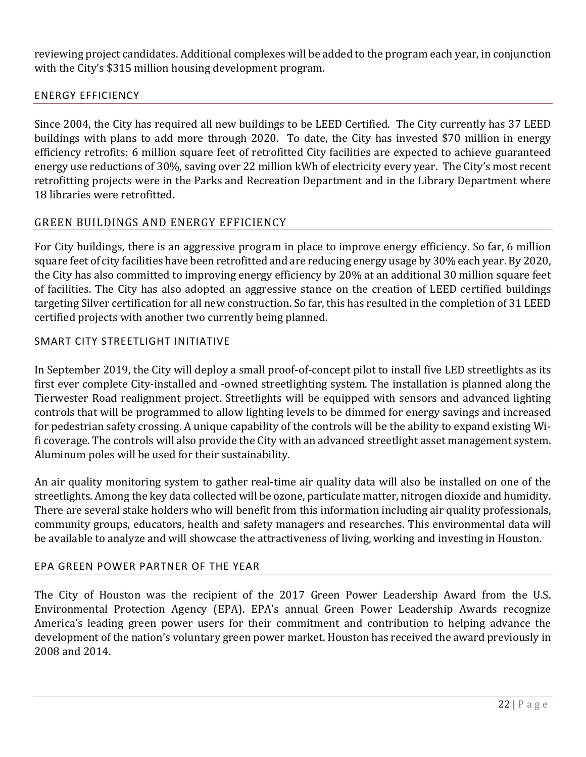reviewing project candidates. Additional complexes will be added to the program each year, in conjunction with the City's \$315 million housing development program.

## ENERGY EFFICIENCY

Since 2004, the City has required all new buildings to be LEED Certified. The City currently has 37 LEED buildings with plans to add more through 2020. To date, the City has invested \$70 million in energy efficiency retrofits: 6 million square feet of retrofitted City facilities are expected to achieve guaranteed energy use reductions of 30%, saving over 22 million kWh of electricity every year. The City's most recent retrofitting projects were in the Parks and Recreation Department and in the Library Department where 18 libraries were retrofitted.

## GREEN BUILDINGS AND ENERGY EFFICIENCY

For City buildings, there is an aggressive program in place to improve energy efficiency. So far, 6 million square feet of city facilities have been retrofitted and are reducing energy usage by 30% each year. By 2020, the City has also committed to improving energy efficiency by 20% at an additional 30 million square feet of facilities. The City has also adopted an aggressive stance on the creation of LEED certified buildings targeting Silver certification for all new construction. So far, this has resulted in the completion of 31 LEED certified projects with another two currently being planned.

## SMART CITY STREETLIGHT INITIATIVE

In September 2019, the City will deploy a small proof-of-concept pilot to install five LED streetlights as its first ever complete City-installed and -owned streetlighting system. The installation is planned along the Tierwester Road realignment project. Streetlights will be equipped with sensors and advanced lighting controls that will be programmed to allow lighting levels to be dimmed for energy savings and increased for pedestrian safety crossing. A unique capability of the controls will be the ability to expand existing Wifi coverage. The controls will also provide the City with an advanced streetlight asset management system. Aluminum poles will be used for their sustainability.

An air quality monitoring system to gather real-time air quality data will also be installed on one of the streetlights. Among the key data collected will be ozone, particulate matter, nitrogen dioxide and humidity. There are several stake holders who will benefit from this information including air quality professionals, community groups, educators, health and safety managers and researches. This environmental data will be available to analyze and will showcase the attractiveness of living, working and investing in Houston.

#### EPA GREEN POWER PARTNER OF THE YEAR

The City of Houston was the recipient of the 2017 Green Power Leadership Award from the U.S. Environmental Protection Agency (EPA). EPA's annual Green Power Leadership Awards recognize America's leading green power users for their commitment and contribution to helping advance the development of the nation's voluntary green power market. Houston has received the award previously in 2008 and 2014.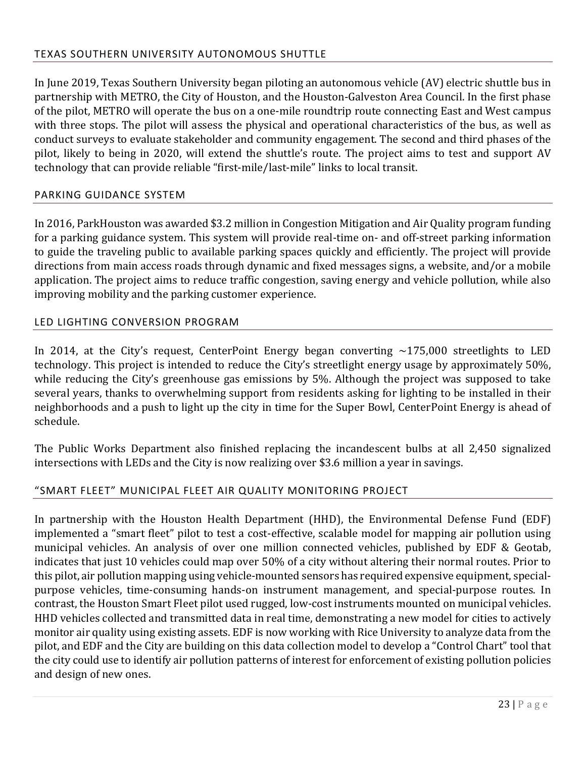In June 2019, Texas Southern University began piloting an autonomous vehicle (AV) electric shuttle bus in partnership with METRO, the City of Houston, and the Houston-Galveston Area Council. In the first phase of the pilot, METRO will operate the bus on a one-mile roundtrip route connecting East and West campus with three stops. The pilot will assess the physical and operational characteristics of the bus, as well as conduct surveys to evaluate stakeholder and community engagement. The second and third phases of the pilot, likely to being in 2020, will extend the shuttle's route. The project aims to test and support AV technology that can provide reliable "first-mile/last-mile" links to local transit.

## PARKING GUIDANCE SYSTEM

In 2016, ParkHouston was awarded \$3.2 million in Congestion Mitigation and Air Quality program funding for a parking guidance system. This system will provide real-time on- and off-street parking information to guide the traveling public to available parking spaces quickly and efficiently. The project will provide directions from main access roads through dynamic and fixed messages signs, a website, and/or a mobile application. The project aims to reduce traffic congestion, saving energy and vehicle pollution, while also improving mobility and the parking customer experience.

#### LED LIGHTING CONVERSION PROGRAM

In 2014, at the City's request, CenterPoint Energy began converting  $\sim$ 175,000 streetlights to LED technology. This project is intended to reduce the City's streetlight energy usage by approximately 50%, while reducing the City's greenhouse gas emissions by 5%. Although the project was supposed to take several years, thanks to overwhelming support from residents asking for lighting to be installed in their neighborhoods and a push to light up the city in time for the Super Bowl, CenterPoint Energy is ahead of schedule.

The Public Works Department also finished replacing the incandescent bulbs at all 2,450 signalized intersections with LEDs and the City is now realizing over \$3.6 million a year in savings.

#### "SMART FLEET" MUNICIPAL FLEET AIR QUALITY MONITORING PROJECT

In partnership with the Houston Health Department (HHD), the Environmental Defense Fund (EDF) implemented a "smart fleet" pilot to test a cost-effective, scalable model for mapping air pollution using municipal vehicles. An analysis of over one million connected vehicles, published by EDF & Geotab, indicates that just 10 vehicles could map over 50% of a city without altering their normal routes. Prior to this pilot, air pollution mapping using vehicle-mounted sensors has required expensive equipment, specialpurpose vehicles, time-consuming hands-on instrument management, and special-purpose routes. In contrast, the Houston Smart Fleet pilot used rugged, low-cost instruments mounted on municipal vehicles. HHD vehicles collected and transmitted data in real time, demonstrating a new model for cities to actively monitor air quality using existing assets. EDF is now working with Rice University to analyze data from the pilot, and EDF and the City are building on this data collection model to develop a "Control Chart" tool that the city could use to identify air pollution patterns of interest for enforcement of existing pollution policies and design of new ones.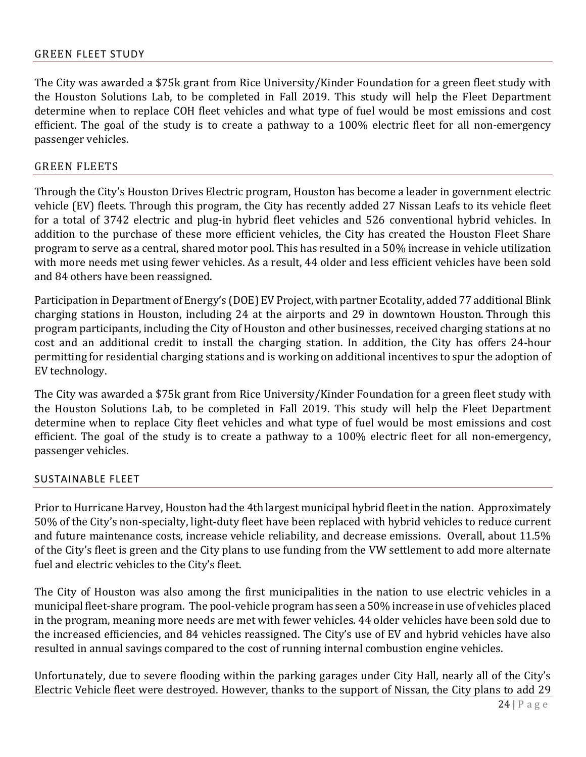The City was awarded a \$75k grant from Rice University/Kinder Foundation for a green fleet study with the Houston Solutions Lab, to be completed in Fall 2019. This study will help the Fleet Department determine when to replace COH fleet vehicles and what type of fuel would be most emissions and cost efficient. The goal of the study is to create a pathway to a 100% electric fleet for all non-emergency passenger vehicles.

#### GREEN FLEETS

Through the City's Houston Drives Electric program, Houston has become a leader in government electric vehicle (EV) fleets. Through this program, the City has recently added 27 Nissan Leafs to its vehicle fleet for a total of 3742 electric and plug-in hybrid fleet vehicles and 526 conventional hybrid vehicles. In addition to the purchase of these more efficient vehicles, the City has created the Houston Fleet Share program to serve as a central, shared motor pool. This has resulted in a 50% increase in vehicle utilization with more needs met using fewer vehicles. As a result, 44 older and less efficient vehicles have been sold and 84 others have been reassigned.

Participation in Department of Energy's (DOE) EV Project, with partner Ecotality, added 77 additional Blink charging stations in Houston, including 24 at the airports and 29 in downtown Houston. Through this program participants, including the City of Houston and other businesses, received charging stations at no cost and an additional credit to install the charging station. In addition, the City has offers 24-hour permitting for residential charging stations and is working on additional incentives to spur the adoption of EV technology.

The City was awarded a \$75k grant from Rice University/Kinder Foundation for a green fleet study with the Houston Solutions Lab, to be completed in Fall 2019. This study will help the Fleet Department determine when to replace City fleet vehicles and what type of fuel would be most emissions and cost efficient. The goal of the study is to create a pathway to a 100% electric fleet for all non-emergency, passenger vehicles.

#### SUSTAINABLE FLEET

Prior to Hurricane Harvey, Houston had the 4th largest municipal hybrid fleet in the nation. Approximately 50% of the City's non-specialty, light-duty fleet have been replaced with hybrid vehicles to reduce current and future maintenance costs, increase vehicle reliability, and decrease emissions. Overall, about 11.5% of the City's fleet is green and the City plans to use funding from the VW settlement to add more alternate fuel and electric vehicles to the City's fleet.

The City of Houston was also among the first municipalities in the nation to use electric vehicles in a municipal fleet-share program. The pool-vehicle program has seen a 50% increase in use of vehicles placed in the program, meaning more needs are met with fewer vehicles. 44 older vehicles have been sold due to the increased efficiencies, and 84 vehicles reassigned. The City's use of EV and hybrid vehicles have also resulted in annual savings compared to the cost of running internal combustion engine vehicles.

Unfortunately, due to severe flooding within the parking garages under City Hall, nearly all of the City's Electric Vehicle fleet were destroyed. However, thanks to the support of Nissan, the City plans to add 29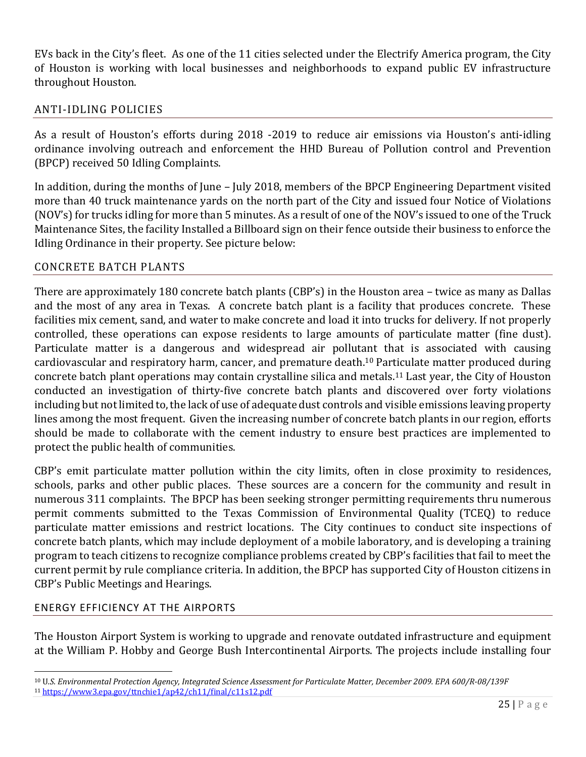EVs back in the City's fleet. As one of the 11 cities selected under the Electrify America program, the City of Houston is working with local businesses and neighborhoods to expand public EV infrastructure throughout Houston.

## ANTI-IDLING POLICIES

As a result of Houston's efforts during 2018 -2019 to reduce air emissions via Houston's anti-idling ordinance involving outreach and enforcement the HHD Bureau of Pollution control and Prevention (BPCP) received 50 Idling Complaints.

In addition, during the months of June – July 2018, members of the BPCP Engineering Department visited more than 40 truck maintenance yards on the north part of the City and issued four Notice of Violations (NOV's) for trucks idling for more than 5 minutes. As a result of one of the NOV's issued to one of the Truck Maintenance Sites, the facility Installed a Billboard sign on their fence outside their business to enforce the Idling Ordinance in their property. See picture below:

#### CONCRETE BATCH PLANTS

There are approximately 180 concrete batch plants (CBP's) in the Houston area – twice as many as Dallas and the most of any area in Texas. A concrete batch plant is a facility that produces concrete. These facilities mix cement, sand, and water to make concrete and load it into trucks for delivery. If not properly controlled, these operations can expose residents to large amounts of particulate matter (fine dust). Particulate matter is a dangerous and widespread air pollutant that is associated with causing cardiovascular and respiratory harm, cancer, and premature death.10 Particulate matter produced during concrete batch plant operations may contain crystalline silica and metals.11 Last year, the City of Houston conducted an investigation of thirty-five concrete batch plants and discovered over forty violations including but not limited to, the lack of use of adequate dust controls and visible emissions leaving property lines among the most frequent. Given the increasing number of concrete batch plants in our region, efforts should be made to collaborate with the cement industry to ensure best practices are implemented to protect the public health of communities.

CBP's emit particulate matter pollution within the city limits, often in close proximity to residences, schools, parks and other public places. These sources are a concern for the community and result in numerous 311 complaints. The BPCP has been seeking stronger permitting requirements thru numerous permit comments submitted to the Texas Commission of Environmental Quality (TCEQ) to reduce particulate matter emissions and restrict locations. The City continues to conduct site inspections of concrete batch plants, which may include deployment of a mobile laboratory, and is developing a training program to teach citizens to recognize compliance problems created by CBP's facilities that fail to meet the current permit by rule compliance criteria. In addition, the BPCP has supported City of Houston citizens in CBP's Public Meetings and Hearings.

#### ENERGY EFFICIENCY AT THE AIRPORTS

 $\overline{\phantom{0}}$ 

The Houston Airport System is working to upgrade and renovate outdated infrastructure and equipment at the William P. Hobby and George Bush Intercontinental Airports. The projects include installing four

<sup>&</sup>lt;sup>10</sup> U.S. Environmental Protection Agency, Integrated Science Assessment for Particulate Matter, December 2009. EPA 600/R-08/139F <sup>11</sup> https://www3.epa.gov/ttnchie1/ap42/ch11/final/c11s12.pdf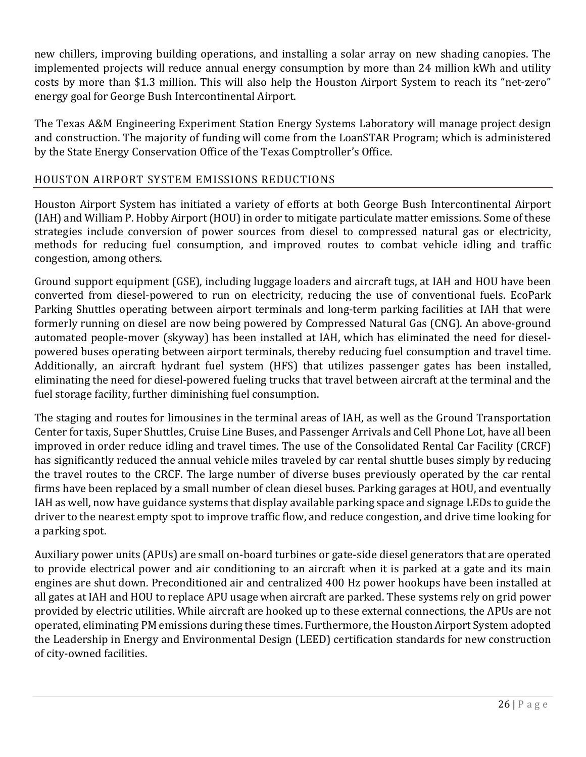new chillers, improving building operations, and installing a solar array on new shading canopies. The implemented projects will reduce annual energy consumption by more than 24 million kWh and utility costs by more than \$1.3 million. This will also help the Houston Airport System to reach its "net-zero" energy goal for George Bush Intercontinental Airport.

The Texas A&M Engineering Experiment Station Energy Systems Laboratory will manage project design and construction. The majority of funding will come from the LoanSTAR Program; which is administered by the State Energy Conservation Office of the Texas Comptroller's Office.

## HOUSTON AIRPORT SYSTEM EMISSIONS REDUCTIONS

Houston Airport System has initiated a variety of efforts at both George Bush Intercontinental Airport (IAH) and William P. Hobby Airport (HOU) in order to mitigate particulate matter emissions. Some of these strategies include conversion of power sources from diesel to compressed natural gas or electricity, methods for reducing fuel consumption, and improved routes to combat vehicle idling and traffic congestion, among others.

Ground support equipment (GSE), including luggage loaders and aircraft tugs, at IAH and HOU have been converted from diesel-powered to run on electricity, reducing the use of conventional fuels. EcoPark Parking Shuttles operating between airport terminals and long-term parking facilities at IAH that were formerly running on diesel are now being powered by Compressed Natural Gas (CNG). An above-ground automated people-mover (skyway) has been installed at IAH, which has eliminated the need for dieselpowered buses operating between airport terminals, thereby reducing fuel consumption and travel time. Additionally, an aircraft hydrant fuel system (HFS) that utilizes passenger gates has been installed, eliminating the need for diesel-powered fueling trucks that travel between aircraft at the terminal and the fuel storage facility, further diminishing fuel consumption.

The staging and routes for limousines in the terminal areas of IAH, as well as the Ground Transportation Center for taxis, Super Shuttles, Cruise Line Buses, and Passenger Arrivals and Cell Phone Lot, have all been improved in order reduce idling and travel times. The use of the Consolidated Rental Car Facility (CRCF) has significantly reduced the annual vehicle miles traveled by car rental shuttle buses simply by reducing the travel routes to the CRCF. The large number of diverse buses previously operated by the car rental firms have been replaced by a small number of clean diesel buses. Parking garages at HOU, and eventually IAH as well, now have guidance systems that display available parking space and signage LEDs to guide the driver to the nearest empty spot to improve traffic flow, and reduce congestion, and drive time looking for a parking spot.

Auxiliary power units (APUs) are small on-board turbines or gate-side diesel generators that are operated to provide electrical power and air conditioning to an aircraft when it is parked at a gate and its main engines are shut down. Preconditioned air and centralized 400 Hz power hookups have been installed at all gates at IAH and HOU to replace APU usage when aircraft are parked. These systems rely on grid power provided by electric utilities. While aircraft are hooked up to these external connections, the APUs are not operated, eliminating PM emissions during these times. Furthermore, the Houston Airport System adopted the Leadership in Energy and Environmental Design (LEED) certification standards for new construction of city-owned facilities.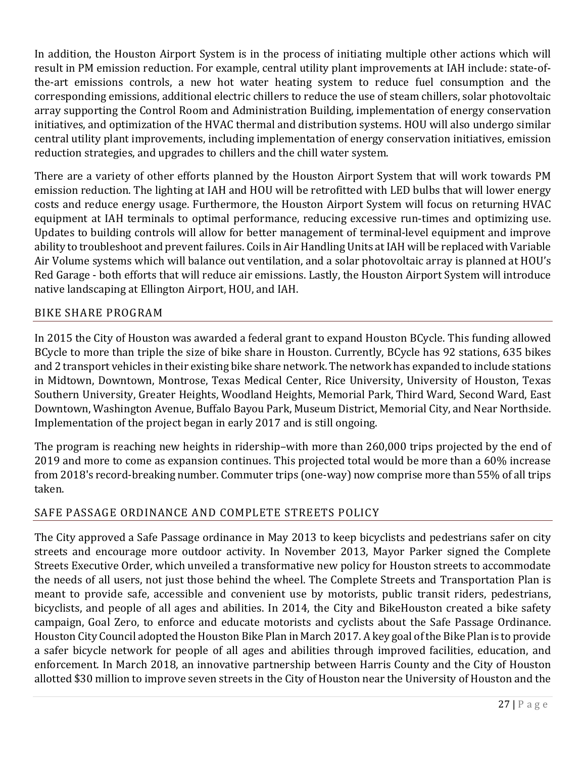In addition, the Houston Airport System is in the process of initiating multiple other actions which will result in PM emission reduction. For example, central utility plant improvements at IAH include: state-ofthe-art emissions controls, a new hot water heating system to reduce fuel consumption and the corresponding emissions, additional electric chillers to reduce the use of steam chillers, solar photovoltaic array supporting the Control Room and Administration Building, implementation of energy conservation initiatives, and optimization of the HVAC thermal and distribution systems. HOU will also undergo similar central utility plant improvements, including implementation of energy conservation initiatives, emission reduction strategies, and upgrades to chillers and the chill water system.

There are a variety of other efforts planned by the Houston Airport System that will work towards PM emission reduction. The lighting at IAH and HOU will be retrofitted with LED bulbs that will lower energy costs and reduce energy usage. Furthermore, the Houston Airport System will focus on returning HVAC equipment at IAH terminals to optimal performance, reducing excessive run-times and optimizing use. Updates to building controls will allow for better management of terminal-level equipment and improve ability to troubleshoot and prevent failures. Coils in Air Handling Units at IAH will be replaced with Variable Air Volume systems which will balance out ventilation, and a solar photovoltaic array is planned at HOU's Red Garage - both efforts that will reduce air emissions. Lastly, the Houston Airport System will introduce native landscaping at Ellington Airport, HOU, and IAH.

## BIKE SHARE PROGRAM

In 2015 the City of Houston was awarded a federal grant to expand Houston BCycle. This funding allowed BCycle to more than triple the size of bike share in Houston. Currently, BCycle has 92 stations, 635 bikes and 2 transport vehicles in their existing bike share network. The network has expanded to include stations in Midtown, Downtown, Montrose, Texas Medical Center, Rice University, University of Houston, Texas Southern University, Greater Heights, Woodland Heights, Memorial Park, Third Ward, Second Ward, East Downtown, Washington Avenue, Buffalo Bayou Park, Museum District, Memorial City, and Near Northside. Implementation of the project began in early 2017 and is still ongoing.

The program is reaching new heights in ridership–with more than 260,000 trips projected by the end of 2019 and more to come as expansion continues. This projected total would be more than a 60% increase from 2018's record-breaking number. Commuter trips (one-way) now comprise more than 55% of all trips taken.

## SAFE PASSAGE ORDINANCE AND COMPLETE STREETS POLICY

The City approved a Safe Passage ordinance in May 2013 to keep bicyclists and pedestrians safer on city streets and encourage more outdoor activity. In November 2013, Mayor Parker signed the Complete Streets Executive Order, which unveiled a transformative new policy for Houston streets to accommodate the needs of all users, not just those behind the wheel. The Complete Streets and Transportation Plan is meant to provide safe, accessible and convenient use by motorists, public transit riders, pedestrians, bicyclists, and people of all ages and abilities. In 2014, the City and BikeHouston created a bike safety campaign, Goal Zero, to enforce and educate motorists and cyclists about the Safe Passage Ordinance. Houston City Council adopted the Houston Bike Plan in March 2017. A key goal of the Bike Plan is to provide a safer bicycle network for people of all ages and abilities through improved facilities, education, and enforcement. In March 2018, an innovative partnership between Harris County and the City of Houston allotted \$30 million to improve seven streets in the City of Houston near the University of Houston and the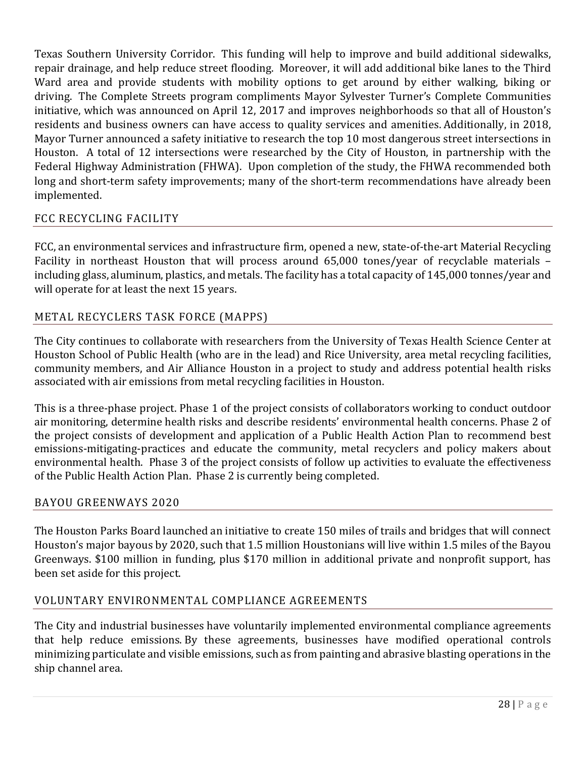Texas Southern University Corridor. This funding will help to improve and build additional sidewalks, repair drainage, and help reduce street flooding. Moreover, it will add additional bike lanes to the Third Ward area and provide students with mobility options to get around by either walking, biking or driving. The Complete Streets program compliments Mayor Sylvester Turner's Complete Communities initiative, which was announced on April 12, 2017 and improves neighborhoods so that all of Houston's residents and business owners can have access to quality services and amenities. Additionally, in 2018, Mayor Turner announced a safety initiative to research the top 10 most dangerous street intersections in Houston. A total of 12 intersections were researched by the City of Houston, in partnership with the Federal Highway Administration (FHWA). Upon completion of the study, the FHWA recommended both long and short-term safety improvements; many of the short-term recommendations have already been implemented.

## FCC RECYCLING FACILITY

FCC, an environmental services and infrastructure firm, opened a new, state-of-the-art Material Recycling Facility in northeast Houston that will process around 65,000 tones/year of recyclable materials – including glass, aluminum, plastics, and metals. The facility has a total capacity of 145,000 tonnes/year and will operate for at least the next 15 years.

## METAL RECYCLERS TASK FORCE (MAPPS)

The City continues to collaborate with researchers from the University of Texas Health Science Center at Houston School of Public Health (who are in the lead) and Rice University, area metal recycling facilities, community members, and Air Alliance Houston in a project to study and address potential health risks associated with air emissions from metal recycling facilities in Houston.

This is a three-phase project. Phase 1 of the project consists of collaborators working to conduct outdoor air monitoring, determine health risks and describe residents' environmental health concerns. Phase 2 of the project consists of development and application of a Public Health Action Plan to recommend best emissions-mitigating-practices and educate the community, metal recyclers and policy makers about environmental health. Phase 3 of the project consists of follow up activities to evaluate the effectiveness of the Public Health Action Plan. Phase 2 is currently being completed.

#### BAYOU GREENWAYS 2020

The Houston Parks Board launched an initiative to create 150 miles of trails and bridges that will connect Houston's major bayous by 2020, such that 1.5 million Houstonians will live within 1.5 miles of the Bayou Greenways. \$100 million in funding, plus \$170 million in additional private and nonprofit support, has been set aside for this project.

## VOLUNTARY ENVIRONMENTAL COMPLIANCE AGREEMENTS

The City and industrial businesses have voluntarily implemented environmental compliance agreements that help reduce emissions. By these agreements, businesses have modified operational controls minimizing particulate and visible emissions, such as from painting and abrasive blasting operations in the ship channel area.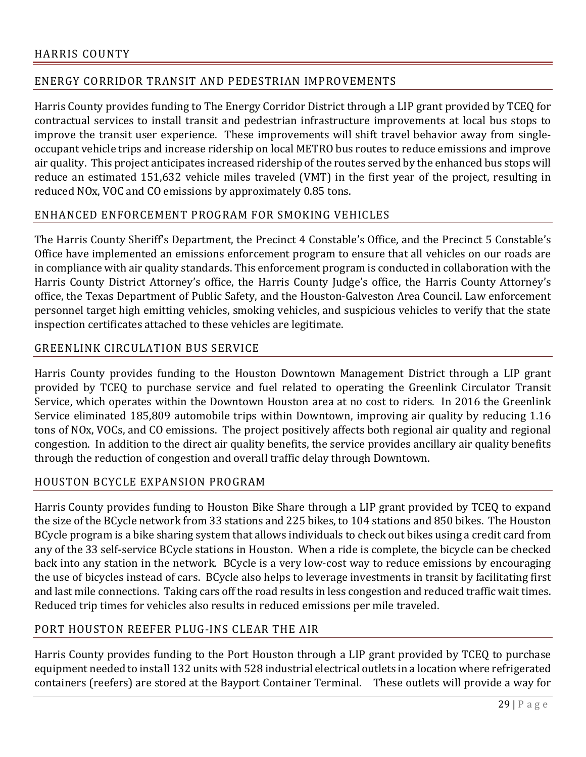## ENERGY CORRIDOR TRANSIT AND PEDESTRIAN IMPROVEMENTS

Harris County provides funding to The Energy Corridor District through a LIP grant provided by TCEQ for contractual services to install transit and pedestrian infrastructure improvements at local bus stops to improve the transit user experience. These improvements will shift travel behavior away from singleoccupant vehicle trips and increase ridership on local METRO bus routes to reduce emissions and improve air quality. This project anticipates increased ridership of the routes served by the enhanced bus stops will reduce an estimated 151,632 vehicle miles traveled (VMT) in the first year of the project, resulting in reduced NOx, VOC and CO emissions by approximately 0.85 tons.

## ENHANCED ENFORCEMENT PROGRAM FOR SMOKING VEHICLES

The Harris County Sheriff's Department, the Precinct 4 Constable's Office, and the Precinct 5 Constable's Office have implemented an emissions enforcement program to ensure that all vehicles on our roads are in compliance with air quality standards. This enforcement program is conducted in collaboration with the Harris County District Attorney's office, the Harris County Judge's office, the Harris County Attorney's office, the Texas Department of Public Safety, and the Houston-Galveston Area Council. Law enforcement personnel target high emitting vehicles, smoking vehicles, and suspicious vehicles to verify that the state inspection certificates attached to these vehicles are legitimate.

#### GREENLINK CIRCULATION BUS SERVICE

Harris County provides funding to the Houston Downtown Management District through a LIP grant provided by TCEQ to purchase service and fuel related to operating the Greenlink Circulator Transit Service, which operates within the Downtown Houston area at no cost to riders. In 2016 the Greenlink Service eliminated 185,809 automobile trips within Downtown, improving air quality by reducing 1.16 tons of NOx, VOCs, and CO emissions. The project positively affects both regional air quality and regional congestion. In addition to the direct air quality benefits, the service provides ancillary air quality benefits through the reduction of congestion and overall traffic delay through Downtown.

#### HOUSTON BCYCLE EXPANSION PROGRAM

Harris County provides funding to Houston Bike Share through a LIP grant provided by TCEQ to expand the size of the BCycle network from 33 stations and 225 bikes, to 104 stations and 850 bikes. The Houston BCycle program is a bike sharing system that allows individuals to check out bikes using a credit card from any of the 33 self-service BCycle stations in Houston. When a ride is complete, the bicycle can be checked back into any station in the network. BCycle is a very low-cost way to reduce emissions by encouraging the use of bicycles instead of cars. BCycle also helps to leverage investments in transit by facilitating first and last mile connections. Taking cars off the road results in less congestion and reduced traffic wait times. Reduced trip times for vehicles also results in reduced emissions per mile traveled.

#### PORT HOUSTON REEFER PLUG-INS CLEAR THE AIR

Harris County provides funding to the Port Houston through a LIP grant provided by TCEQ to purchase equipment needed to install 132 units with 528 industrial electrical outlets in a location where refrigerated containers (reefers) are stored at the Bayport Container Terminal. These outlets will provide a way for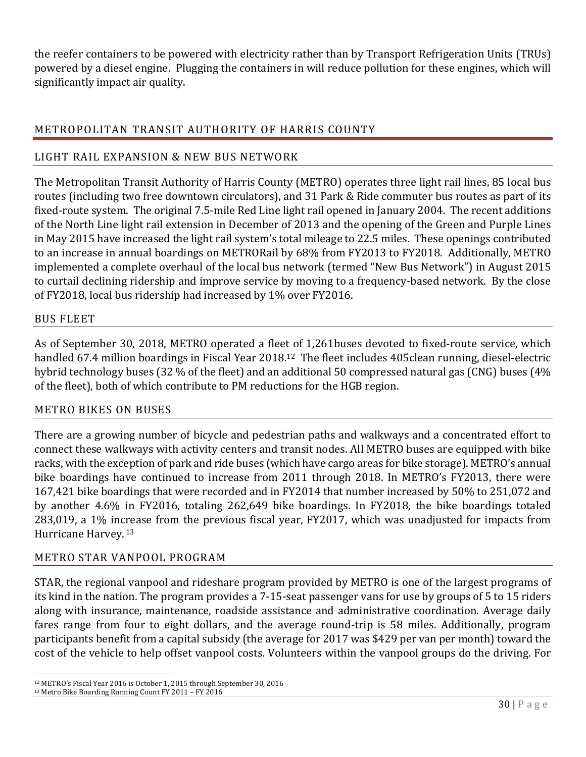the reefer containers to be powered with electricity rather than by Transport Refrigeration Units (TRUs) powered by a diesel engine. Plugging the containers in will reduce pollution for these engines, which will significantly impact air quality.

## METROPOLITAN TRANSIT AUTHORITY OF HARRIS COUNTY

## LIGHT RAIL EXPANSION & NEW BUS NETWORK

The Metropolitan Transit Authority of Harris County (METRO) operates three light rail lines, 85 local bus routes (including two free downtown circulators), and 31 Park & Ride commuter bus routes as part of its fixed-route system. The original 7.5-mile Red Line light rail opened in January 2004. The recent additions of the North Line light rail extension in December of 2013 and the opening of the Green and Purple Lines in May 2015 have increased the light rail system's total mileage to 22.5 miles. These openings contributed to an increase in annual boardings on METRORail by 68% from FY2013 to FY2018. Additionally, METRO implemented a complete overhaul of the local bus network (termed "New Bus Network") in August 2015 to curtail declining ridership and improve service by moving to a frequency-based network. By the close of FY2018, local bus ridership had increased by 1% over FY2016.

## BUS FLEET

As of September 30, 2018, METRO operated a fleet of 1,261buses devoted to fixed-route service, which handled 67.4 million boardings in Fiscal Year 2018.12 The fleet includes 405clean running, diesel-electric hybrid technology buses (32 % of the fleet) and an additional 50 compressed natural gas (CNG) buses (4% of the fleet), both of which contribute to PM reductions for the HGB region.

## METRO BIKES ON BUSES

There are a growing number of bicycle and pedestrian paths and walkways and a concentrated effort to connect these walkways with activity centers and transit nodes. All METRO buses are equipped with bike racks, with the exception of park and ride buses (which have cargo areas for bike storage). METRO's annual bike boardings have continued to increase from 2011 through 2018. In METRO's FY2013, there were 167,421 bike boardings that were recorded and in FY2014 that number increased by 50% to 251,072 and by another 4.6% in FY2016, totaling 262,649 bike boardings. In FY2018, the bike boardings totaled 283,019, a 1% increase from the previous fiscal year, FY2017, which was unadjusted for impacts from Hurricane Harvey. 13

## METRO STAR VANPOOL PROGRAM

STAR, the regional vanpool and rideshare program provided by METRO is one of the largest programs of its kind in the nation. The program provides a 7-15-seat passenger vans for use by groups of 5 to 15 riders along with insurance, maintenance, roadside assistance and administrative coordination. Average daily fares range from four to eight dollars, and the average round-trip is 58 miles. Additionally, program participants benefit from a capital subsidy (the average for 2017 was \$429 per van per month) toward the cost of the vehicle to help offset vanpool costs. Volunteers within the vanpool groups do the driving. For

l

<sup>&</sup>lt;sup>12</sup> METRO's Fiscal Year 2016 is October 1, 2015 through September 30, 2016<br><sup>13</sup> Metro Bike Boarding Running Count FY 2011 – FY 2016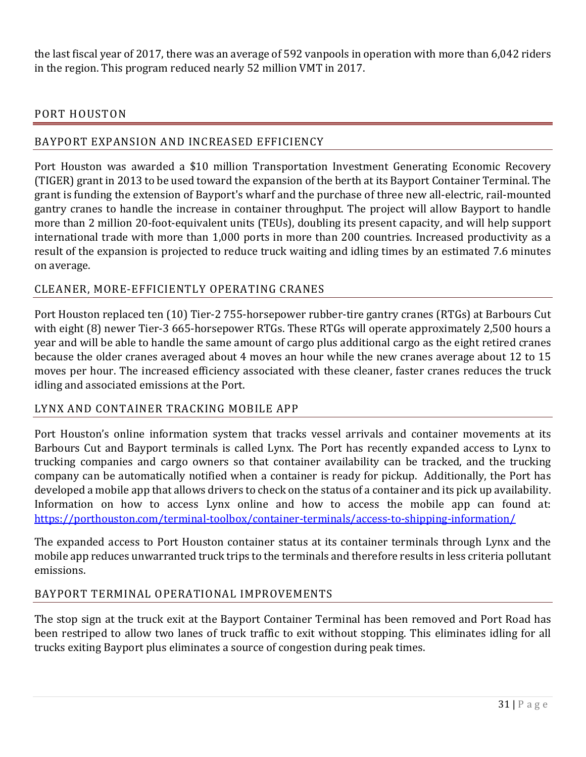the last fiscal year of 2017, there was an average of 592 vanpools in operation with more than 6,042 riders in the region. This program reduced nearly 52 million VMT in 2017.

#### PORT HOUSTON

## BAYPORT EXPANSION AND INCREASED EFFICIENCY

Port Houston was awarded a \$10 million Transportation Investment Generating Economic Recovery (TIGER) grant in 2013 to be used toward the expansion of the berth at its Bayport Container Terminal. The grant is funding the extension of Bayport's wharf and the purchase of three new all-electric, rail-mounted gantry cranes to handle the increase in container throughput. The project will allow Bayport to handle more than 2 million 20-foot-equivalent units (TEUs), doubling its present capacity, and will help support international trade with more than 1,000 ports in more than 200 countries. Increased productivity as a result of the expansion is projected to reduce truck waiting and idling times by an estimated 7.6 minutes on average.

## CLEANER, MORE-EFFICIENTLY OPERATING CRANES

Port Houston replaced ten (10) Tier-2 755-horsepower rubber-tire gantry cranes (RTGs) at Barbours Cut with eight (8) newer Tier-3 665-horsepower RTGs. These RTGs will operate approximately 2,500 hours a year and will be able to handle the same amount of cargo plus additional cargo as the eight retired cranes because the older cranes averaged about 4 moves an hour while the new cranes average about 12 to 15 moves per hour. The increased efficiency associated with these cleaner, faster cranes reduces the truck idling and associated emissions at the Port.

#### LYNX AND CONTAINER TRACKING MOBILE APP

Port Houston's online information system that tracks vessel arrivals and container movements at its Barbours Cut and Bayport terminals is called Lynx. The Port has recently expanded access to Lynx to trucking companies and cargo owners so that container availability can be tracked, and the trucking company can be automatically notified when a container is ready for pickup. Additionally, the Port has developed a mobile app that allows drivers to check on the status of a container and its pick up availability. Information on how to access Lynx online and how to access the mobile app can found at: https://porthouston.com/terminal-toolbox/container-terminals/access-to-shipping-information/

The expanded access to Port Houston container status at its container terminals through Lynx and the mobile app reduces unwarranted truck trips to the terminals and therefore results in less criteria pollutant emissions.

#### BAYPORT TERMINAL OPERATIONAL IMPROVEMENTS

The stop sign at the truck exit at the Bayport Container Terminal has been removed and Port Road has been restriped to allow two lanes of truck traffic to exit without stopping. This eliminates idling for all trucks exiting Bayport plus eliminates a source of congestion during peak times.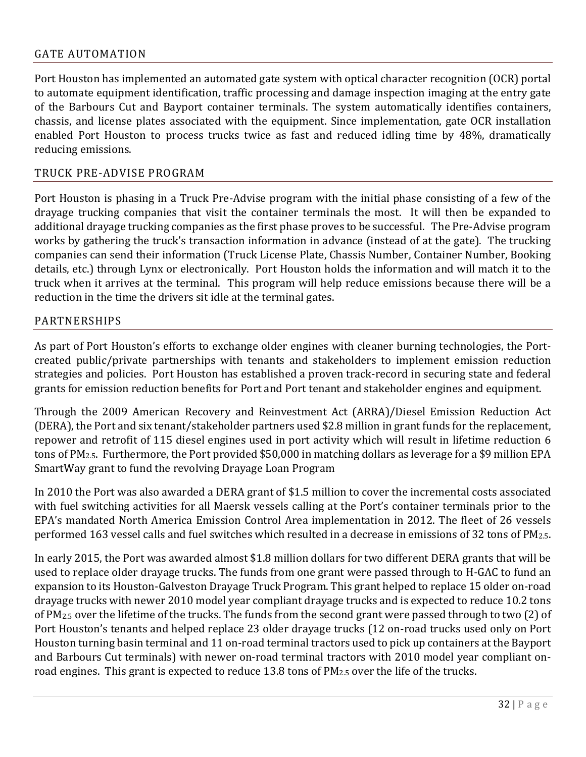#### GATE AUTOMATION

Port Houston has implemented an automated gate system with optical character recognition (OCR) portal to automate equipment identification, traffic processing and damage inspection imaging at the entry gate of the Barbours Cut and Bayport container terminals. The system automatically identifies containers, chassis, and license plates associated with the equipment. Since implementation, gate OCR installation enabled Port Houston to process trucks twice as fast and reduced idling time by 48%, dramatically reducing emissions.

#### TRUCK PRE-ADVISE PROGRAM

Port Houston is phasing in a Truck Pre-Advise program with the initial phase consisting of a few of the drayage trucking companies that visit the container terminals the most. It will then be expanded to additional drayage trucking companies as the first phase proves to be successful. The Pre-Advise program works by gathering the truck's transaction information in advance (instead of at the gate). The trucking companies can send their information (Truck License Plate, Chassis Number, Container Number, Booking details, etc.) through Lynx or electronically. Port Houston holds the information and will match it to the truck when it arrives at the terminal. This program will help reduce emissions because there will be a reduction in the time the drivers sit idle at the terminal gates.

#### PARTNERSHIPS

As part of Port Houston's efforts to exchange older engines with cleaner burning technologies, the Portcreated public/private partnerships with tenants and stakeholders to implement emission reduction strategies and policies. Port Houston has established a proven track-record in securing state and federal grants for emission reduction benefits for Port and Port tenant and stakeholder engines and equipment.

Through the 2009 American Recovery and Reinvestment Act (ARRA)/Diesel Emission Reduction Act (DERA), the Port and six tenant/stakeholder partners used \$2.8 million in grant funds for the replacement, repower and retrofit of 115 diesel engines used in port activity which will result in lifetime reduction 6 tons of PM2.5. Furthermore, the Port provided \$50,000 in matching dollars as leverage for a \$9 million EPA SmartWay grant to fund the revolving Drayage Loan Program

In 2010 the Port was also awarded a DERA grant of \$1.5 million to cover the incremental costs associated with fuel switching activities for all Maersk vessels calling at the Port's container terminals prior to the EPA's mandated North America Emission Control Area implementation in 2012. The fleet of 26 vessels performed 163 vessel calls and fuel switches which resulted in a decrease in emissions of 32 tons of PM2.5.

In early 2015, the Port was awarded almost \$1.8 million dollars for two different DERA grants that will be used to replace older drayage trucks. The funds from one grant were passed through to H-GAC to fund an expansion to its Houston-Galveston Drayage Truck Program. This grant helped to replace 15 older on-road drayage trucks with newer 2010 model year compliant drayage trucks and is expected to reduce 10.2 tons of PM2.5 over the lifetime of the trucks. The funds from the second grant were passed through to two (2) of Port Houston's tenants and helped replace 23 older drayage trucks (12 on-road trucks used only on Port Houston turning basin terminal and 11 on-road terminal tractors used to pick up containers at the Bayport and Barbours Cut terminals) with newer on-road terminal tractors with 2010 model year compliant onroad engines. This grant is expected to reduce 13.8 tons of PM2.5 over the life of the trucks.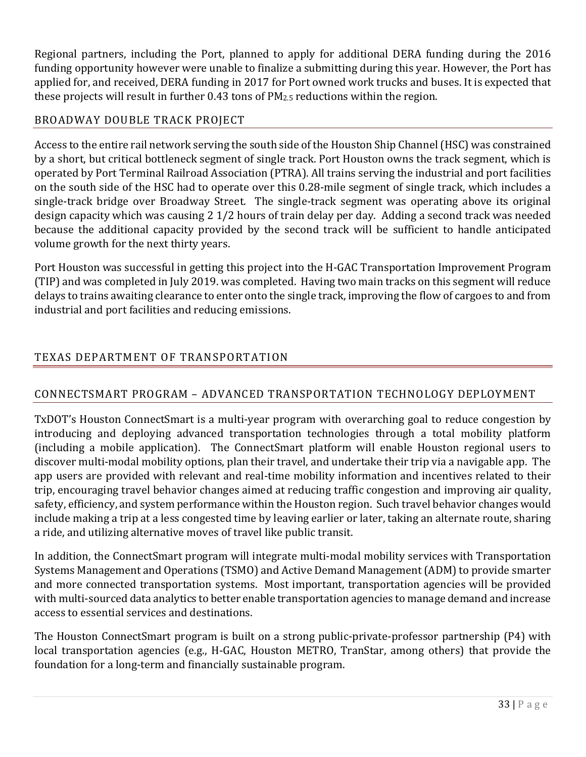Regional partners, including the Port, planned to apply for additional DERA funding during the 2016 funding opportunity however were unable to finalize a submitting during this year. However, the Port has applied for, and received, DERA funding in 2017 for Port owned work trucks and buses. It is expected that these projects will result in further 0.43 tons of PM2.5 reductions within the region.

## BROADWAY DOUBLE TRACK PROJECT

Access to the entire rail network serving the south side of the Houston Ship Channel (HSC) was constrained by a short, but critical bottleneck segment of single track. Port Houston owns the track segment, which is operated by Port Terminal Railroad Association (PTRA). All trains serving the industrial and port facilities on the south side of the HSC had to operate over this 0.28-mile segment of single track, which includes a single-track bridge over Broadway Street. The single-track segment was operating above its original design capacity which was causing 2 1/2 hours of train delay per day. Adding a second track was needed because the additional capacity provided by the second track will be sufficient to handle anticipated volume growth for the next thirty years.

Port Houston was successful in getting this project into the H-GAC Transportation Improvement Program (TIP) and was completed in July 2019. was completed. Having two main tracks on this segment will reduce delays to trains awaiting clearance to enter onto the single track, improving the flow of cargoes to and from industrial and port facilities and reducing emissions.

## TEXAS DEPARTMENT OF TRANSPORTATION

## CONNECTSMART PROGRAM – ADVANCED TRANSPORTATION TECHNOLOGY DEPLOYMENT

TxDOT's Houston ConnectSmart is a multi-year program with overarching goal to reduce congestion by introducing and deploying advanced transportation technologies through a total mobility platform (including a mobile application). The ConnectSmart platform will enable Houston regional users to discover multi-modal mobility options, plan their travel, and undertake their trip via a navigable app. The app users are provided with relevant and real-time mobility information and incentives related to their trip, encouraging travel behavior changes aimed at reducing traffic congestion and improving air quality, safety, efficiency, and system performance within the Houston region. Such travel behavior changes would include making a trip at a less congested time by leaving earlier or later, taking an alternate route, sharing a ride, and utilizing alternative moves of travel like public transit.

In addition, the ConnectSmart program will integrate multi-modal mobility services with Transportation Systems Management and Operations (TSMO) and Active Demand Management (ADM) to provide smarter and more connected transportation systems. Most important, transportation agencies will be provided with multi-sourced data analytics to better enable transportation agencies to manage demand and increase access to essential services and destinations.

The Houston ConnectSmart program is built on a strong public-private-professor partnership (P4) with local transportation agencies (e.g., H-GAC, Houston METRO, TranStar, among others) that provide the foundation for a long-term and financially sustainable program.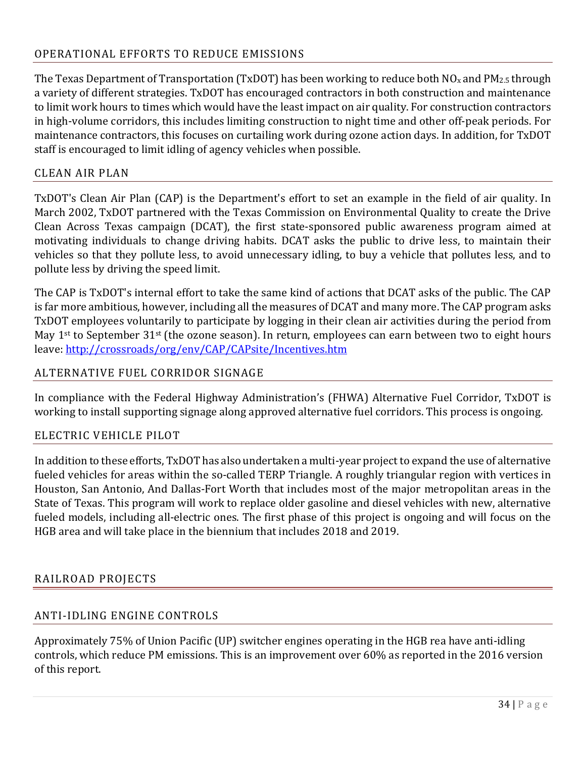## OPERATIONAL EFFORTS TO REDUCE EMISSIONS

The Texas Department of Transportation (TxDOT) has been working to reduce both  $NO<sub>x</sub>$  and PM<sub>2.5</sub> through a variety of different strategies. TxDOT has encouraged contractors in both construction and maintenance to limit work hours to times which would have the least impact on air quality. For construction contractors in high-volume corridors, this includes limiting construction to night time and other off-peak periods. For maintenance contractors, this focuses on curtailing work during ozone action days. In addition, for TxDOT staff is encouraged to limit idling of agency vehicles when possible.

## CLEAN AIR PLAN

TxDOT's Clean Air Plan (CAP) is the Department's effort to set an example in the field of air quality. In March 2002, TxDOT partnered with the Texas Commission on Environmental Quality to create the Drive Clean Across Texas campaign (DCAT), the first state-sponsored public awareness program aimed at motivating individuals to change driving habits. DCAT asks the public to drive less, to maintain their vehicles so that they pollute less, to avoid unnecessary idling, to buy a vehicle that pollutes less, and to pollute less by driving the speed limit.

The CAP is TxDOT's internal effort to take the same kind of actions that DCAT asks of the public. The CAP is far more ambitious, however, including all the measures of DCAT and many more. The CAP program asks TxDOT employees voluntarily to participate by logging in their clean air activities during the period from May 1<sup>st</sup> to September 31<sup>st</sup> (the ozone season). In return, employees can earn between two to eight hours leave: http://crossroads/org/env/CAP/CAPsite/Incentives.htm

#### ALTERNATIVE FUEL CORRIDOR SIGNAGE

In compliance with the Federal Highway Administration's (FHWA) Alternative Fuel Corridor, TxDOT is working to install supporting signage along approved alternative fuel corridors. This process is ongoing.

#### ELECTRIC VEHICLE PILOT

In addition to these efforts, TxDOT has also undertaken a multi-year project to expand the use of alternative fueled vehicles for areas within the so-called TERP Triangle. A roughly triangular region with vertices in Houston, San Antonio, And Dallas-Fort Worth that includes most of the major metropolitan areas in the State of Texas. This program will work to replace older gasoline and diesel vehicles with new, alternative fueled models, including all-electric ones. The first phase of this project is ongoing and will focus on the HGB area and will take place in the biennium that includes 2018 and 2019.

#### RAILROAD PROJECTS

## ANTI-IDLING ENGINE CONTROLS

Approximately 75% of Union Pacific (UP) switcher engines operating in the HGB rea have anti-idling controls, which reduce PM emissions. This is an improvement over 60% as reported in the 2016 version of this report.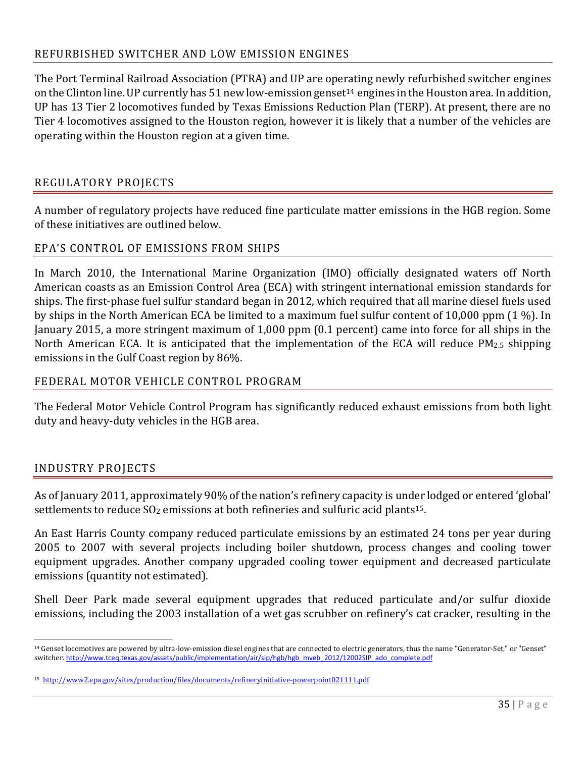#### REFURBISHED SWITCHER AND LOW EMISSION ENGINES

The Port Terminal Railroad Association (PTRA) and UP are operating newly refurbished switcher engines on the Clinton line. UP currently has  $51$  new low-emission genset<sup>14</sup> engines in the Houston area. In addition, UP has 13 Tier 2 locomotives funded by Texas Emissions Reduction Plan (TERP). At present, there are no Tier 4 locomotives assigned to the Houston region, however it is likely that a number of the vehicles are operating within the Houston region at a given time.

## REGULATORY PROJECTS

A number of regulatory projects have reduced fine particulate matter emissions in the HGB region. Some of these initiatives are outlined below.

## EPA'S CONTROL OF EMISSIONS FROM SHIPS

In March 2010, the International Marine Organization (IMO) officially designated waters off North American coasts as an Emission Control Area (ECA) with stringent international emission standards for ships. The first-phase fuel sulfur standard began in 2012, which required that all marine diesel fuels used by ships in the North American ECA be limited to a maximum fuel sulfur content of 10,000 ppm (1 %). In January 2015, a more stringent maximum of 1,000 ppm (0.1 percent) came into force for all ships in the North American ECA. It is anticipated that the implementation of the ECA will reduce PM2.5 shipping emissions in the Gulf Coast region by 86%.

#### FEDERAL MOTOR VEHICLE CONTROL PROGRAM

The Federal Motor Vehicle Control Program has significantly reduced exhaust emissions from both light duty and heavy-duty vehicles in the HGB area.

#### INDUSTRY PROJECTS

As of January 2011, approximately 90% of the nation's refinery capacity is under lodged or entered 'global' settlements to reduce  $SO<sub>2</sub>$  emissions at both refineries and sulfuric acid plants<sup>15</sup>.

An East Harris County company reduced particulate emissions by an estimated 24 tons per year during 2005 to 2007 with several projects including boiler shutdown, process changes and cooling tower equipment upgrades. Another company upgraded cooling tower equipment and decreased particulate emissions (quantity not estimated).

Shell Deer Park made several equipment upgrades that reduced particulate and/or sulfur dioxide emissions, including the 2003 installation of a wet gas scrubber on refinery's cat cracker, resulting in the

 $\overline{a}$ 14 Genset locomotives are powered by ultra-low-emission diesel engines that are connected to electric generators, thus the name "Generator-Set," or "Genset" switcher. http://www.tceq.texas.gov/assets/public/implementation/air/sip/hgb/hgb\_mveb\_2012/12002SIP\_ado\_complete.pdf

<sup>15</sup> http://www2.epa.gov/sites/production/files/documents/refineryinitiative-powerpoint021111.pdf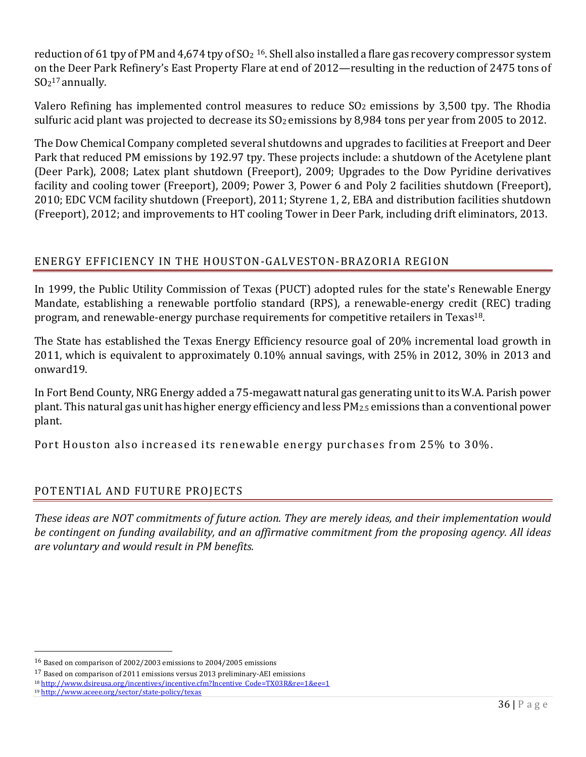reduction of 61 tpy of PM and 4,674 tpy of  $SO<sub>2</sub>$  16. Shell also installed a flare gas recovery compressor system on the Deer Park Refinery's East Property Flare at end of 2012—resulting in the reduction of 2475 tons of  $SO<sub>2</sub><sup>17</sup>$  annually.

Valero Refining has implemented control measures to reduce SO<sub>2</sub> emissions by 3,500 tpy. The Rhodia sulfuric acid plant was projected to decrease its  $SO_2$  emissions by 8,984 tons per year from 2005 to 2012.

The Dow Chemical Company completed several shutdowns and upgrades to facilities at Freeport and Deer Park that reduced PM emissions by 192.97 tpy. These projects include: a shutdown of the Acetylene plant (Deer Park), 2008; Latex plant shutdown (Freeport), 2009; Upgrades to the Dow Pyridine derivatives facility and cooling tower (Freeport), 2009; Power 3, Power 6 and Poly 2 facilities shutdown (Freeport), 2010; EDC VCM facility shutdown (Freeport), 2011; Styrene 1, 2, EBA and distribution facilities shutdown (Freeport), 2012; and improvements to HT cooling Tower in Deer Park, including drift eliminators, 2013.

## ENERGY EFFICIENCY IN THE HOUSTON-GALVESTON-BRAZORIA REGION

In 1999, the Public Utility Commission of Texas (PUCT) adopted rules for the state's Renewable Energy Mandate, establishing a renewable portfolio standard (RPS), a renewable-energy credit (REC) trading program, and renewable-energy purchase requirements for competitive retailers in Texas18.

The State has established the Texas Energy Efficiency resource goal of 20% incremental load growth in 2011, which is equivalent to approximately 0.10% annual savings, with 25% in 2012, 30% in 2013 and onward19.

In Fort Bend County, NRG Energy added a 75-megawatt natural gas generating unit to its W.A. Parish power plant. This natural gas unit has higher energy efficiency and less PM2.5 emissions than a conventional power plant.

Port Houston also increased its renewable energy purchases from 25% to 30%.

## POTENTIAL AND FUTURE PROJECTS

*These ideas are NOT commitments of future action. They are merely ideas, and their implementation would be contingent on funding availability, and an affirmative commitment from the proposing agency. All ideas are voluntary and would result in PM benefits.*

 $\overline{\phantom{0}}$ 

<sup>16</sup> Based on comparison of 2002/2003 emissions to 2004/2005 emissions

<sup>17</sup> Based on comparison of 2011 emissions versus 2013 preliminary-AEI emissions

<sup>18</sup> http://www.dsireusa.org/incentives/incentive.cfm?Incentive\_Code=TX03R&re=1&ee=1

<sup>19</sup> http://www.aceee.org/sector/state-policy/texas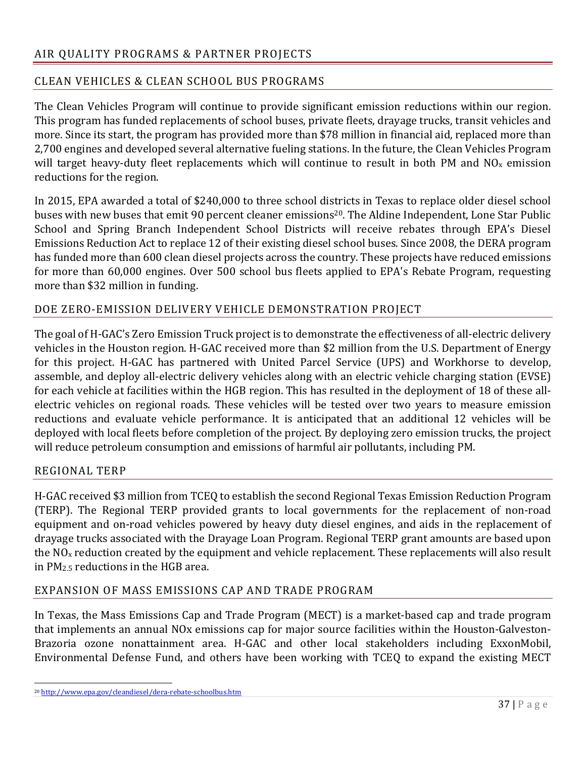## CLEAN VEHICLES & CLEAN SCHOOL BUS PROGRAMS

The Clean Vehicles Program will continue to provide significant emission reductions within our region. This program has funded replacements of school buses, private fleets, drayage trucks, transit vehicles and more. Since its start, the program has provided more than \$78 million in financial aid, replaced more than 2,700 engines and developed several alternative fueling stations. In the future, the Clean Vehicles Program will target heavy-duty fleet replacements which will continue to result in both PM and NO<sub>x</sub> emission reductions for the region.

In 2015, EPA awarded a total of \$240,000 to three school districts in Texas to replace older diesel school buses with new buses that emit 90 percent cleaner emissions<sup>20</sup>. The Aldine Independent, Lone Star Public School and Spring Branch Independent School Districts will receive rebates through EPA's Diesel Emissions Reduction Act to replace 12 of their existing diesel school buses. Since 2008, the DERA program has funded more than 600 clean diesel projects across the country. These projects have reduced emissions for more than 60,000 engines. Over 500 school bus fleets applied to EPA's Rebate Program, requesting more than \$32 million in funding.

## DOE ZERO-EMISSION DELIVERY VEHICLE DEMONSTRATION PROJECT

The goal of H-GAC's Zero Emission Truck project is to demonstrate the effectiveness of all-electric delivery vehicles in the Houston region. H-GAC received more than \$2 million from the U.S. Department of Energy for this project. H-GAC has partnered with United Parcel Service (UPS) and Workhorse to develop, assemble, and deploy all-electric delivery vehicles along with an electric vehicle charging station (EVSE) for each vehicle at facilities within the HGB region. This has resulted in the deployment of 18 of these allelectric vehicles on regional roads. These vehicles will be tested over two years to measure emission reductions and evaluate vehicle performance. It is anticipated that an additional 12 vehicles will be deployed with local fleets before completion of the project. By deploying zero emission trucks, the project will reduce petroleum consumption and emissions of harmful air pollutants, including PM.

#### REGIONAL TERP

H-GAC received \$3 million from TCEQ to establish the second Regional Texas Emission Reduction Program (TERP). The Regional TERP provided grants to local governments for the replacement of non-road equipment and on-road vehicles powered by heavy duty diesel engines, and aids in the replacement of drayage trucks associated with the Drayage Loan Program. Regional TERP grant amounts are based upon the NOx reduction created by the equipment and vehicle replacement. These replacements will also result in PM2.5 reductions in the HGB area.

#### EXPANSION OF MASS EMISSIONS CAP AND TRADE PROGRAM

In Texas, the Mass Emissions Cap and Trade Program (MECT) is a market-based cap and trade program that implements an annual NOx emissions cap for major source facilities within the Houston-Galveston-Brazoria ozone nonattainment area. H-GAC and other local stakeholders including ExxonMobil, Environmental Defense Fund, and others have been working with TCEQ to expand the existing MECT

l <sup>20</sup> http://www.epa.gov/cleandiesel/dera-rebate-schoolbus.htm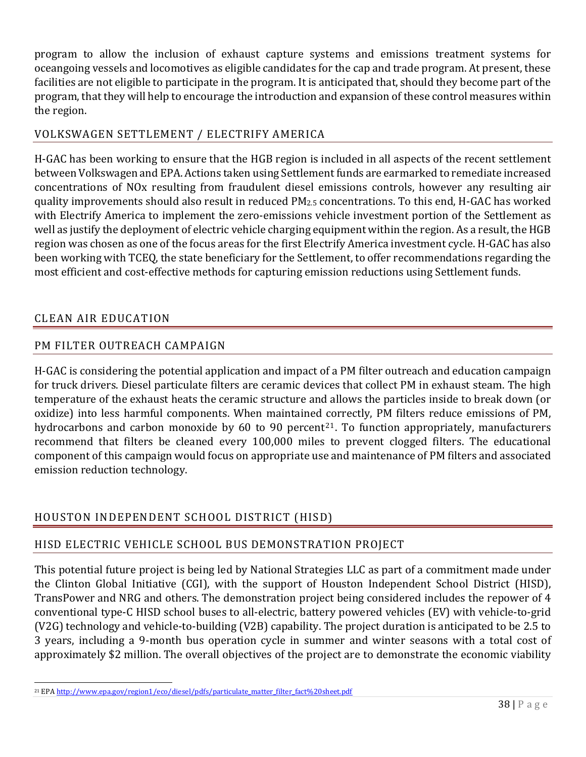program to allow the inclusion of exhaust capture systems and emissions treatment systems for oceangoing vessels and locomotives as eligible candidates for the cap and trade program. At present, these facilities are not eligible to participate in the program. It is anticipated that, should they become part of the program, that they will help to encourage the introduction and expansion of these control measures within the region.

## VOLKSWAGEN SETTLEMENT / ELECTRIFY AMERICA

H-GAC has been working to ensure that the HGB region is included in all aspects of the recent settlement between Volkswagen and EPA. Actions taken using Settlement funds are earmarked to remediate increased concentrations of NOx resulting from fraudulent diesel emissions controls, however any resulting air quality improvements should also result in reduced PM2.5 concentrations. To this end, H-GAC has worked with Electrify America to implement the zero-emissions vehicle investment portion of the Settlement as well as justify the deployment of electric vehicle charging equipment within the region. As a result, the HGB region was chosen as one of the focus areas for the first Electrify America investment cycle. H-GAC has also been working with TCEQ, the state beneficiary for the Settlement, to offer recommendations regarding the most efficient and cost-effective methods for capturing emission reductions using Settlement funds.

## CLEAN AIR EDUCATION

## PM FILTER OUTREACH CAMPAIGN

H-GAC is considering the potential application and impact of a PM filter outreach and education campaign for truck drivers. Diesel particulate filters are ceramic devices that collect PM in exhaust steam. The high temperature of the exhaust heats the ceramic structure and allows the particles inside to break down (or oxidize) into less harmful components. When maintained correctly, PM filters reduce emissions of PM, hydrocarbons and carbon monoxide by 60 to 90 percent<sup>21</sup>. To function appropriately, manufacturers recommend that filters be cleaned every 100,000 miles to prevent clogged filters. The educational component of this campaign would focus on appropriate use and maintenance of PM filters and associated emission reduction technology.

## HOUSTON INDEPENDENT SCHOOL DISTRICT (HISD)

## HISD ELECTRIC VEHICLE SCHOOL BUS DEMONSTRATION PROJECT

This potential future project is being led by National Strategies LLC as part of a commitment made under the Clinton Global Initiative (CGI), with the support of Houston Independent School District (HISD), TransPower and NRG and others. The demonstration project being considered includes the repower of 4 conventional type-C HISD school buses to all-electric, battery powered vehicles (EV) with vehicle-to-grid (V2G) technology and vehicle-to-building (V2B) capability. The project duration is anticipated to be 2.5 to 3 years, including a 9-month bus operation cycle in summer and winter seasons with a total cost of approximately \$2 million. The overall objectives of the project are to demonstrate the economic viability

 $\overline{\phantom{0}}$ <sup>21</sup> EPA http://www.epa.gov/region1/eco/diesel/pdfs/particulate\_matter\_filter\_fact%20sheet.pdf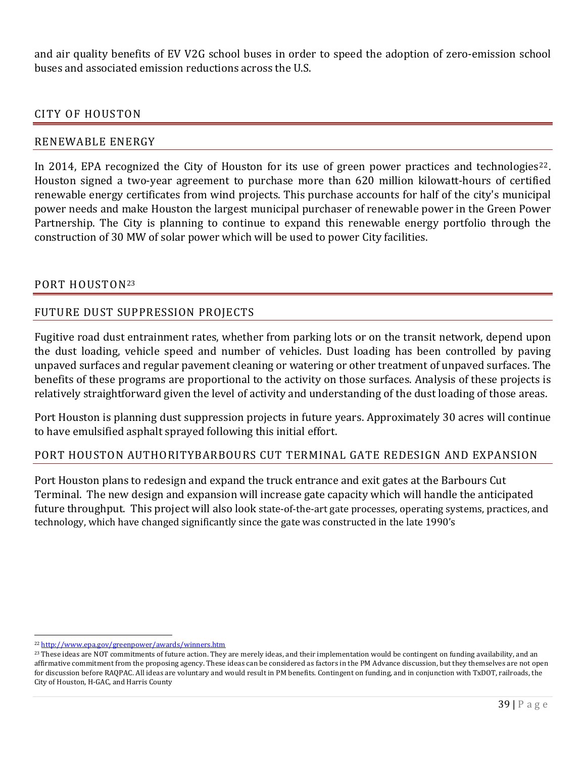and air quality benefits of EV V2G school buses in order to speed the adoption of zero-emission school buses and associated emission reductions across the U.S.

#### CITY OF HOUSTON

#### RENEWABLE ENERGY

In 2014, EPA recognized the City of Houston for its use of green power practices and technologies<sup>22</sup>. Houston signed a two-year agreement to purchase more than 620 million kilowatt-hours of certified renewable energy certificates from wind projects. This purchase accounts for half of the city's municipal power needs and make Houston the largest municipal purchaser of renewable power in the Green Power Partnership. The City is planning to continue to expand this renewable energy portfolio through the construction of 30 MW of solar power which will be used to power City facilities.

#### PORT HOUSTON23

#### FUTURE DUST SUPPRESSION PROJECTS

Fugitive road dust entrainment rates, whether from parking lots or on the transit network, depend upon the dust loading, vehicle speed and number of vehicles. Dust loading has been controlled by paving unpaved surfaces and regular pavement cleaning or watering or other treatment of unpaved surfaces. The benefits of these programs are proportional to the activity on those surfaces. Analysis of these projects is relatively straightforward given the level of activity and understanding of the dust loading of those areas.

Port Houston is planning dust suppression projects in future years. Approximately 30 acres will continue to have emulsified asphalt sprayed following this initial effort.

#### PORT HOUSTON AUTHORITYBARBOURS CUT TERMINAL GATE REDESIGN AND EXPANSION

Port Houston plans to redesign and expand the truck entrance and exit gates at the Barbours Cut Terminal. The new design and expansion will increase gate capacity which will handle the anticipated future throughput. This project will also look state-of-the-art gate processes, operating systems, practices, and technology, which have changed significantly since the gate was constructed in the late 1990's

l

<sup>22</sup> http://www.epa.gov/greenpower/awards/winners.htm

<sup>&</sup>lt;sup>23</sup> These ideas are NOT commitments of future action. They are merely ideas, and their implementation would be contingent on funding availability, and an affirmative commitment from the proposing agency. These ideas can be considered as factors in the PM Advance discussion, but they themselves are not open for discussion before RAQPAC. All ideas are voluntary and would result in PM benefits. Contingent on funding, and in conjunction with TxDOT, railroads, the City of Houston, H-GAC, and Harris County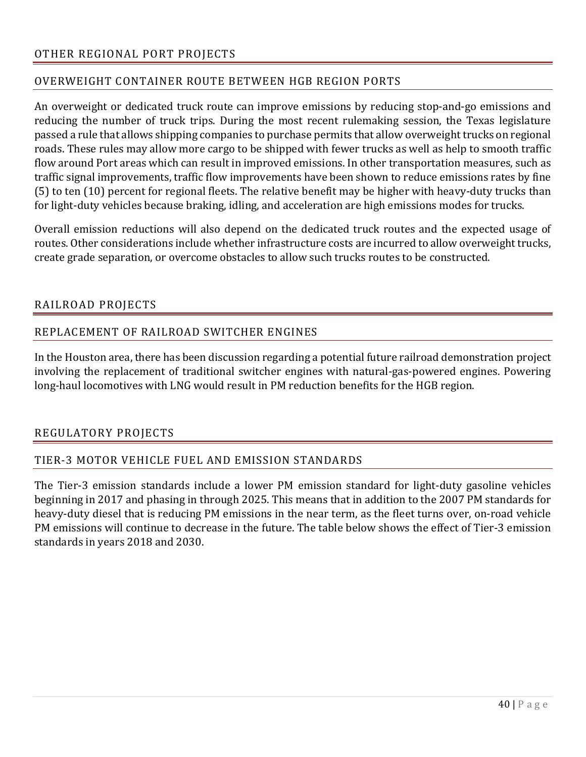## OVERWEIGHT CONTAINER ROUTE BETWEEN HGB REGION PORTS

An overweight or dedicated truck route can improve emissions by reducing stop-and-go emissions and reducing the number of truck trips. During the most recent rulemaking session, the Texas legislature passed a rule that allows shipping companies to purchase permits that allow overweight trucks on regional roads. These rules may allow more cargo to be shipped with fewer trucks as well as help to smooth traffic flow around Port areas which can result in improved emissions. In other transportation measures, such as traffic signal improvements, traffic flow improvements have been shown to reduce emissions rates by fine (5) to ten (10) percent for regional fleets. The relative benefit may be higher with heavy-duty trucks than for light-duty vehicles because braking, idling, and acceleration are high emissions modes for trucks.

Overall emission reductions will also depend on the dedicated truck routes and the expected usage of routes. Other considerations include whether infrastructure costs are incurred to allow overweight trucks, create grade separation, or overcome obstacles to allow such trucks routes to be constructed.

## RAILROAD PROJECTS

## REPLACEMENT OF RAILROAD SWITCHER ENGINES

In the Houston area, there has been discussion regarding a potential future railroad demonstration project involving the replacement of traditional switcher engines with natural-gas-powered engines. Powering long-haul locomotives with LNG would result in PM reduction benefits for the HGB region.

#### REGULATORY PROJECTS

## TIER-3 MOTOR VEHICLE FUEL AND EMISSION STANDARDS

The Tier-3 emission standards include a lower PM emission standard for light-duty gasoline vehicles beginning in 2017 and phasing in through 2025. This means that in addition to the 2007 PM standards for heavy-duty diesel that is reducing PM emissions in the near term, as the fleet turns over, on-road vehicle PM emissions will continue to decrease in the future. The table below shows the effect of Tier-3 emission standards in years 2018 and 2030.